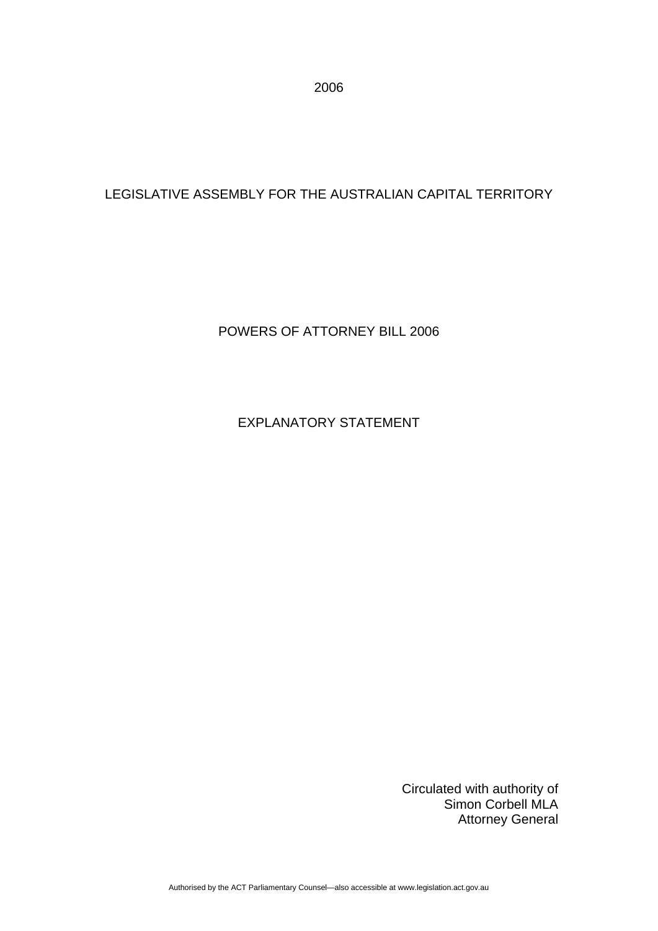2006

## LEGISLATIVE ASSEMBLY FOR THE AUSTRALIAN CAPITAL TERRITORY

#### POWERS OF ATTORNEY BILL 2006

## EXPLANATORY STATEMENT

Circulated with authority of Simon Corbell MLA Attorney General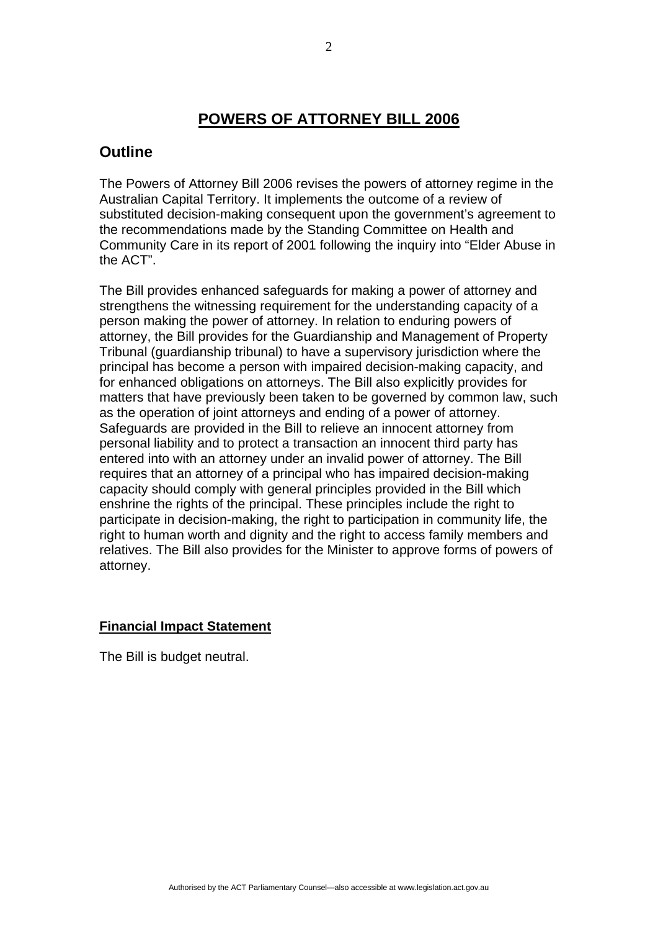## **POWERS OF ATTORNEY BILL 2006**

## **Outline**

The Powers of Attorney Bill 2006 revises the powers of attorney regime in the Australian Capital Territory. It implements the outcome of a review of substituted decision-making consequent upon the government's agreement to the recommendations made by the Standing Committee on Health and Community Care in its report of 2001 following the inquiry into "Elder Abuse in the ACT".

The Bill provides enhanced safeguards for making a power of attorney and strengthens the witnessing requirement for the understanding capacity of a person making the power of attorney. In relation to enduring powers of attorney, the Bill provides for the Guardianship and Management of Property Tribunal (guardianship tribunal) to have a supervisory jurisdiction where the principal has become a person with impaired decision-making capacity, and for enhanced obligations on attorneys. The Bill also explicitly provides for matters that have previously been taken to be governed by common law, such as the operation of joint attorneys and ending of a power of attorney. Safeguards are provided in the Bill to relieve an innocent attorney from personal liability and to protect a transaction an innocent third party has entered into with an attorney under an invalid power of attorney. The Bill requires that an attorney of a principal who has impaired decision-making capacity should comply with general principles provided in the Bill which enshrine the rights of the principal. These principles include the right to participate in decision-making, the right to participation in community life, the right to human worth and dignity and the right to access family members and relatives. The Bill also provides for the Minister to approve forms of powers of attorney.

#### **Financial Impact Statement**

The Bill is budget neutral.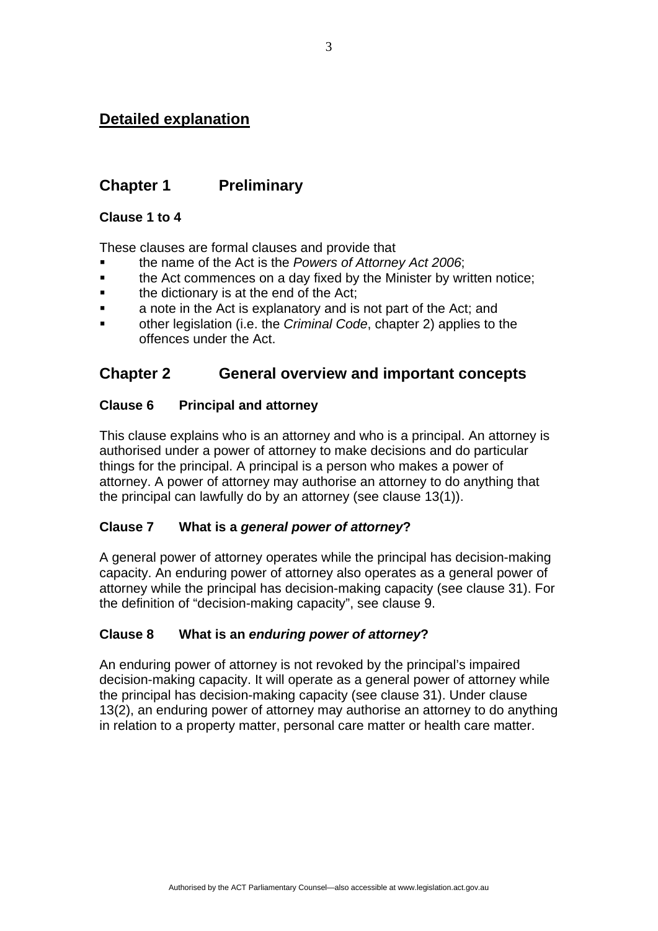## **Detailed explanation**

## **Chapter 1 Preliminary**

#### **Clause 1 to 4**

These clauses are formal clauses and provide that

- the name of the Act is the *Powers of Attorney Act 2006*;
- **the Act commences on a day fixed by the Minister by written notice;**
- $\blacksquare$  the dictionary is at the end of the Act:
- **a** a note in the Act is explanatory and is not part of the Act; and
- other legislation (i.e. the *Criminal Code*, chapter 2) applies to the offences under the Act.

## **Chapter 2 General overview and important concepts**

## **Clause 6 Principal and attorney**

This clause explains who is an attorney and who is a principal. An attorney is authorised under a power of attorney to make decisions and do particular things for the principal. A principal is a person who makes a power of attorney. A power of attorney may authorise an attorney to do anything that the principal can lawfully do by an attorney (see clause 13(1)).

## **Clause 7 What is a** *general power of attorney***?**

A general power of attorney operates while the principal has decision-making capacity. An enduring power of attorney also operates as a general power of attorney while the principal has decision-making capacity (see clause 31). For the definition of "decision-making capacity", see clause 9.

## **Clause 8 What is an** *enduring power of attorney***?**

An enduring power of attorney is not revoked by the principal's impaired decision-making capacity. It will operate as a general power of attorney while the principal has decision-making capacity (see clause 31). Under clause 13(2), an enduring power of attorney may authorise an attorney to do anything in relation to a property matter, personal care matter or health care matter.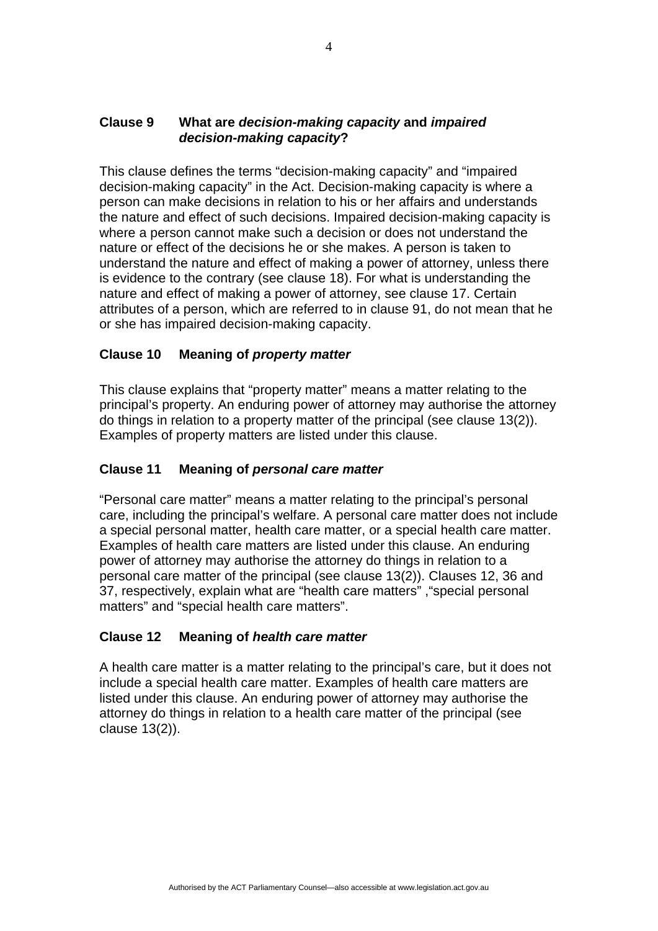## **Clause 9 What are** *decision-making capacity* **and** *impaired decision-making capacity***?**

This clause defines the terms "decision-making capacity" and "impaired decision-making capacity" in the Act. Decision-making capacity is where a person can make decisions in relation to his or her affairs and understands the nature and effect of such decisions. Impaired decision-making capacity is where a person cannot make such a decision or does not understand the nature or effect of the decisions he or she makes. A person is taken to understand the nature and effect of making a power of attorney, unless there is evidence to the contrary (see clause 18). For what is understanding the nature and effect of making a power of attorney, see clause 17. Certain attributes of a person, which are referred to in clause 91, do not mean that he or she has impaired decision-making capacity.

## **Clause 10 Meaning of** *property matter*

This clause explains that "property matter" means a matter relating to the principal's property. An enduring power of attorney may authorise the attorney do things in relation to a property matter of the principal (see clause 13(2)). Examples of property matters are listed under this clause.

#### **Clause 11 Meaning of** *personal care matter*

"Personal care matter" means a matter relating to the principal's personal care, including the principal's welfare. A personal care matter does not include a special personal matter, health care matter, or a special health care matter. Examples of health care matters are listed under this clause. An enduring power of attorney may authorise the attorney do things in relation to a personal care matter of the principal (see clause 13(2)). Clauses 12, 36 and 37, respectively, explain what are "health care matters" ,"special personal matters" and "special health care matters".

#### **Clause 12 Meaning of** *health care matter*

A health care matter is a matter relating to the principal's care, but it does not include a special health care matter. Examples of health care matters are listed under this clause. An enduring power of attorney may authorise the attorney do things in relation to a health care matter of the principal (see clause 13(2)).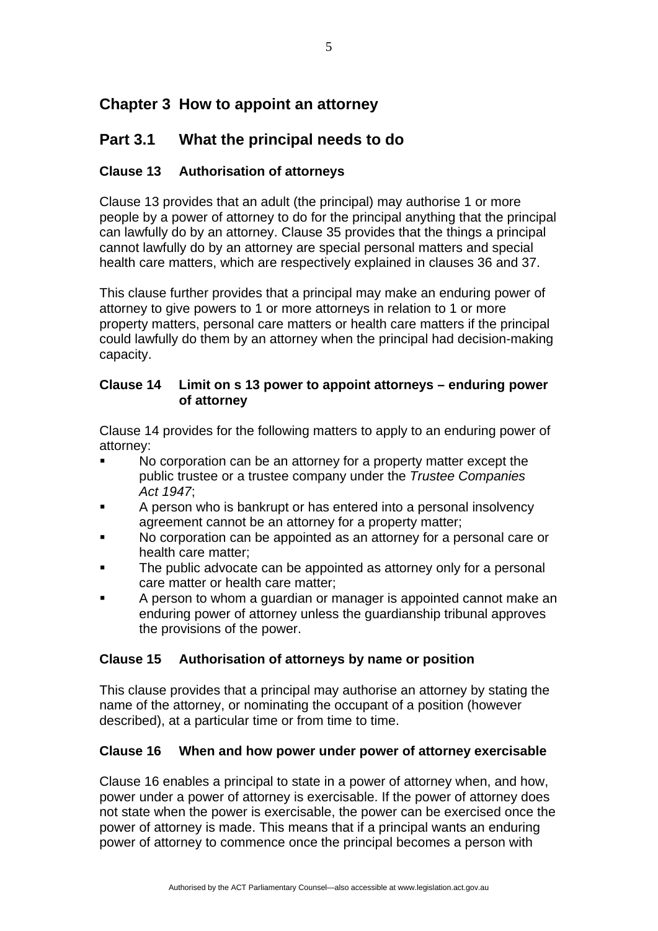# **Chapter 3 How to appoint an attorney**

# **Part 3.1 What the principal needs to do**

## **Clause 13 Authorisation of attorneys**

Clause 13 provides that an adult (the principal) may authorise 1 or more people by a power of attorney to do for the principal anything that the principal can lawfully do by an attorney. Clause 35 provides that the things a principal cannot lawfully do by an attorney are special personal matters and special health care matters, which are respectively explained in clauses 36 and 37.

This clause further provides that a principal may make an enduring power of attorney to give powers to 1 or more attorneys in relation to 1 or more property matters, personal care matters or health care matters if the principal could lawfully do them by an attorney when the principal had decision-making capacity.

#### **Clause 14 Limit on s 13 power to appoint attorneys – enduring power of attorney**

Clause 14 provides for the following matters to apply to an enduring power of attorney:

- No corporation can be an attorney for a property matter except the public trustee or a trustee company under the *Trustee Companies Act 1947*;
- A person who is bankrupt or has entered into a personal insolvency agreement cannot be an attorney for a property matter;
- No corporation can be appointed as an attorney for a personal care or health care matter;
- The public advocate can be appointed as attorney only for a personal care matter or health care matter;
- A person to whom a guardian or manager is appointed cannot make an enduring power of attorney unless the guardianship tribunal approves the provisions of the power.

## **Clause 15 Authorisation of attorneys by name or position**

This clause provides that a principal may authorise an attorney by stating the name of the attorney, or nominating the occupant of a position (however described), at a particular time or from time to time.

## **Clause 16 When and how power under power of attorney exercisable**

Clause 16 enables a principal to state in a power of attorney when, and how, power under a power of attorney is exercisable. If the power of attorney does not state when the power is exercisable, the power can be exercised once the power of attorney is made. This means that if a principal wants an enduring power of attorney to commence once the principal becomes a person with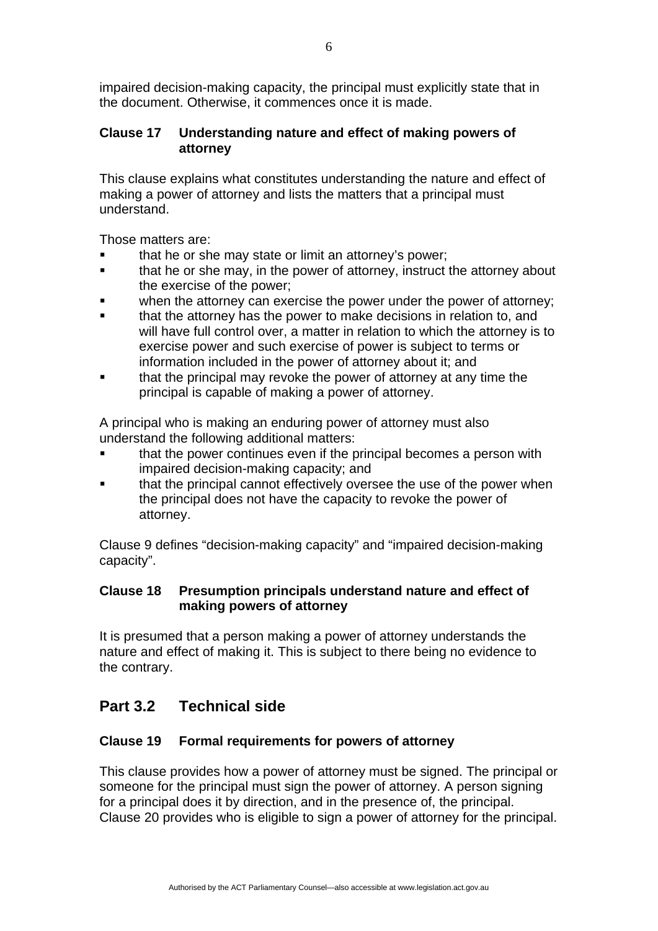impaired decision-making capacity, the principal must explicitly state that in the document. Otherwise, it commences once it is made.

## **Clause 17 Understanding nature and effect of making powers of attorney**

This clause explains what constitutes understanding the nature and effect of making a power of attorney and lists the matters that a principal must understand.

Those matters are:

- that he or she may state or limit an attorney's power;
- **that he or she may, in the power of attorney, instruct the attorney about** the exercise of the power;
- when the attorney can exercise the power under the power of attorney;
- that the attorney has the power to make decisions in relation to, and will have full control over, a matter in relation to which the attorney is to exercise power and such exercise of power is subject to terms or information included in the power of attorney about it; and
- that the principal may revoke the power of attorney at any time the principal is capable of making a power of attorney.

A principal who is making an enduring power of attorney must also understand the following additional matters:

- that the power continues even if the principal becomes a person with impaired decision-making capacity; and
- that the principal cannot effectively oversee the use of the power when the principal does not have the capacity to revoke the power of attorney.

Clause 9 defines "decision-making capacity" and "impaired decision-making capacity".

## **Clause 18 Presumption principals understand nature and effect of making powers of attorney**

It is presumed that a person making a power of attorney understands the nature and effect of making it. This is subject to there being no evidence to the contrary.

# **Part 3.2 Technical side**

## **Clause 19 Formal requirements for powers of attorney**

This clause provides how a power of attorney must be signed. The principal or someone for the principal must sign the power of attorney. A person signing for a principal does it by direction, and in the presence of, the principal. Clause 20 provides who is eligible to sign a power of attorney for the principal.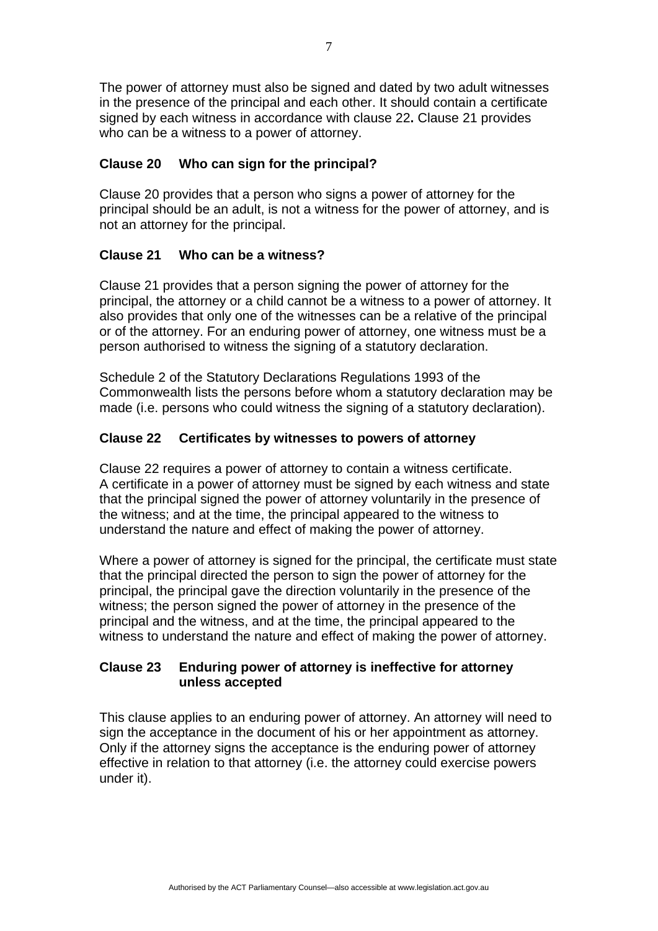The power of attorney must also be signed and dated by two adult witnesses in the presence of the principal and each other. It should contain a certificate signed by each witness in accordance with clause 22**.** Clause 21 provides who can be a witness to a power of attorney.

### **Clause 20 Who can sign for the principal?**

Clause 20 provides that a person who signs a power of attorney for the principal should be an adult, is not a witness for the power of attorney, and is not an attorney for the principal.

## **Clause 21 Who can be a witness?**

Clause 21 provides that a person signing the power of attorney for the principal, the attorney or a child cannot be a witness to a power of attorney. It also provides that only one of the witnesses can be a relative of the principal or of the attorney. For an enduring power of attorney, one witness must be a person authorised to witness the signing of a statutory declaration.

Schedule 2 of the Statutory Declarations Regulations 1993 of the Commonwealth lists the persons before whom a statutory declaration may be made (i.e. persons who could witness the signing of a statutory declaration).

## **Clause 22 Certificates by witnesses to powers of attorney**

Clause 22 requires a power of attorney to contain a witness certificate. A certificate in a power of attorney must be signed by each witness and state that the principal signed the power of attorney voluntarily in the presence of the witness; and at the time, the principal appeared to the witness to understand the nature and effect of making the power of attorney.

Where a power of attorney is signed for the principal, the certificate must state that the principal directed the person to sign the power of attorney for the principal, the principal gave the direction voluntarily in the presence of the witness; the person signed the power of attorney in the presence of the principal and the witness, and at the time, the principal appeared to the witness to understand the nature and effect of making the power of attorney.

## **Clause 23 Enduring power of attorney is ineffective for attorney unless accepted**

This clause applies to an enduring power of attorney. An attorney will need to sign the acceptance in the document of his or her appointment as attorney. Only if the attorney signs the acceptance is the enduring power of attorney effective in relation to that attorney (i.e. the attorney could exercise powers under it).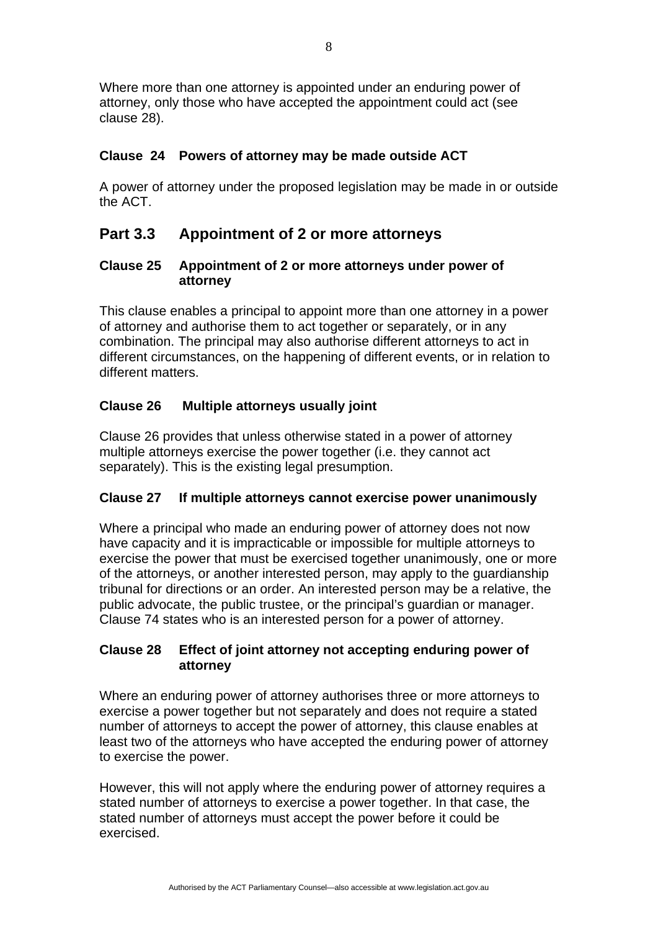Where more than one attorney is appointed under an enduring power of attorney, only those who have accepted the appointment could act (see clause 28).

### **Clause 24 Powers of attorney may be made outside ACT**

A power of attorney under the proposed legislation may be made in or outside the ACT.

## **Part 3.3 Appointment of 2 or more attorneys**

#### **Clause 25 Appointment of 2 or more attorneys under power of attorney**

This clause enables a principal to appoint more than one attorney in a power of attorney and authorise them to act together or separately, or in any combination. The principal may also authorise different attorneys to act in different circumstances, on the happening of different events, or in relation to different matters.

## **Clause 26 Multiple attorneys usually joint**

Clause 26 provides that unless otherwise stated in a power of attorney multiple attorneys exercise the power together (i.e. they cannot act separately). This is the existing legal presumption.

#### **Clause 27 If multiple attorneys cannot exercise power unanimously**

Where a principal who made an enduring power of attorney does not now have capacity and it is impracticable or impossible for multiple attorneys to exercise the power that must be exercised together unanimously, one or more of the attorneys, or another interested person, may apply to the guardianship tribunal for directions or an order. An interested person may be a relative, the public advocate, the public trustee, or the principal's guardian or manager. Clause 74 states who is an interested person for a power of attorney.

#### **Clause 28 Effect of joint attorney not accepting enduring power of attorney**

Where an enduring power of attorney authorises three or more attorneys to exercise a power together but not separately and does not require a stated number of attorneys to accept the power of attorney, this clause enables at least two of the attorneys who have accepted the enduring power of attorney to exercise the power.

However, this will not apply where the enduring power of attorney requires a stated number of attorneys to exercise a power together. In that case, the stated number of attorneys must accept the power before it could be exercised.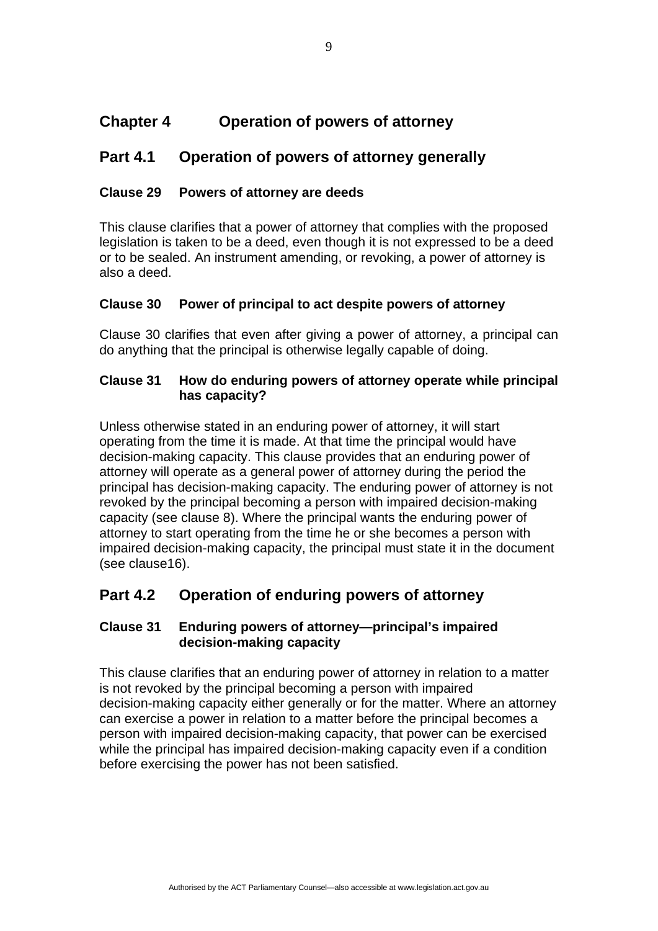# **Chapter 4 Operation of powers of attorney**

## **Part 4.1 Operation of powers of attorney generally**

## **Clause 29 Powers of attorney are deeds**

This clause clarifies that a power of attorney that complies with the proposed legislation is taken to be a deed, even though it is not expressed to be a deed or to be sealed. An instrument amending, or revoking, a power of attorney is also a deed.

## **Clause 30 Power of principal to act despite powers of attorney**

Clause 30 clarifies that even after giving a power of attorney, a principal can do anything that the principal is otherwise legally capable of doing.

### **Clause 31 How do enduring powers of attorney operate while principal has capacity?**

Unless otherwise stated in an enduring power of attorney, it will start operating from the time it is made. At that time the principal would have decision-making capacity. This clause provides that an enduring power of attorney will operate as a general power of attorney during the period the principal has decision-making capacity. The enduring power of attorney is not revoked by the principal becoming a person with impaired decision-making capacity (see clause 8). Where the principal wants the enduring power of attorney to start operating from the time he or she becomes a person with impaired decision-making capacity, the principal must state it in the document (see clause16).

# **Part 4.2 Operation of enduring powers of attorney**

#### **Clause 31 Enduring powers of attorney—principal's impaired decision-making capacity**

This clause clarifies that an enduring power of attorney in relation to a matter is not revoked by the principal becoming a person with impaired decision-making capacity either generally or for the matter. Where an attorney can exercise a power in relation to a matter before the principal becomes a person with impaired decision-making capacity, that power can be exercised while the principal has impaired decision-making capacity even if a condition before exercising the power has not been satisfied.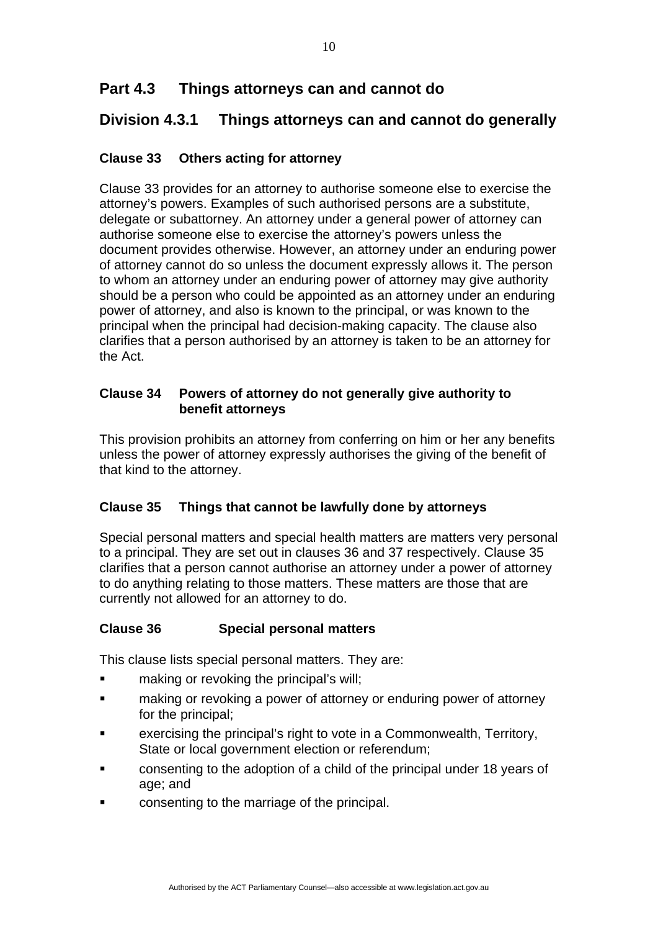# **Part 4.3 Things attorneys can and cannot do**

# **Division 4.3.1 Things attorneys can and cannot do generally**

## **Clause 33 Others acting for attorney**

Clause 33 provides for an attorney to authorise someone else to exercise the attorney's powers. Examples of such authorised persons are a substitute, delegate or subattorney. An attorney under a general power of attorney can authorise someone else to exercise the attorney's powers unless the document provides otherwise. However, an attorney under an enduring power of attorney cannot do so unless the document expressly allows it. The person to whom an attorney under an enduring power of attorney may give authority should be a person who could be appointed as an attorney under an enduring power of attorney, and also is known to the principal, or was known to the principal when the principal had decision-making capacity. The clause also clarifies that a person authorised by an attorney is taken to be an attorney for the Act.

## **Clause 34 Powers of attorney do not generally give authority to benefit attorneys**

This provision prohibits an attorney from conferring on him or her any benefits unless the power of attorney expressly authorises the giving of the benefit of that kind to the attorney.

## **Clause 35 Things that cannot be lawfully done by attorneys**

Special personal matters and special health matters are matters very personal to a principal. They are set out in clauses 36 and 37 respectively. Clause 35 clarifies that a person cannot authorise an attorney under a power of attorney to do anything relating to those matters. These matters are those that are currently not allowed for an attorney to do.

#### **Clause 36 Special personal matters**

This clause lists special personal matters. They are:

- making or revoking the principal's will;
- making or revoking a power of attorney or enduring power of attorney for the principal;
- exercising the principal's right to vote in a Commonwealth, Territory, State or local government election or referendum;
- consenting to the adoption of a child of the principal under 18 years of age; and
- consenting to the marriage of the principal.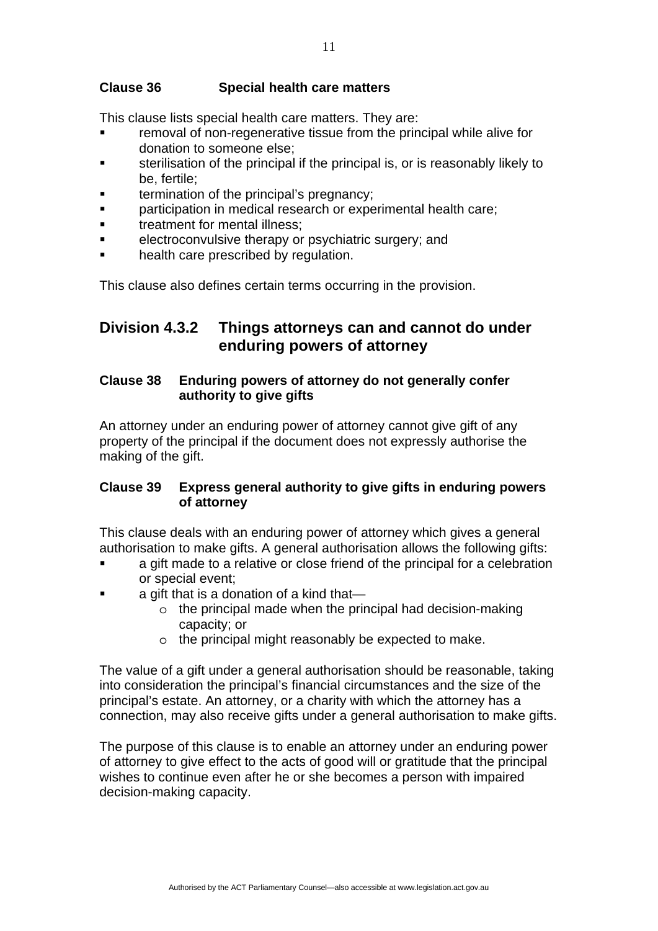#### **Clause 36 Special health care matters**

This clause lists special health care matters. They are:

- removal of non-regenerative tissue from the principal while alive for donation to someone else;
- sterilisation of the principal if the principal is, or is reasonably likely to be, fertile;
- termination of the principal's pregnancy;
- **EXECT** participation in medical research or experimental health care;
- treatment for mental illness;
- electroconvulsive therapy or psychiatric surgery; and
- health care prescribed by regulation.

This clause also defines certain terms occurring in the provision.

## **Division 4.3.2 Things attorneys can and cannot do under enduring powers of attorney**

## **Clause 38 Enduring powers of attorney do not generally confer authority to give gifts**

An attorney under an enduring power of attorney cannot give gift of any property of the principal if the document does not expressly authorise the making of the gift.

#### **Clause 39 Express general authority to give gifts in enduring powers of attorney**

This clause deals with an enduring power of attorney which gives a general authorisation to make gifts. A general authorisation allows the following gifts:

- a gift made to a relative or close friend of the principal for a celebration or special event;
- a gift that is a donation of a kind that
	- o the principal made when the principal had decision-making capacity; or
	- o the principal might reasonably be expected to make.

The value of a gift under a general authorisation should be reasonable, taking into consideration the principal's financial circumstances and the size of the principal's estate. An attorney, or a charity with which the attorney has a connection, may also receive gifts under a general authorisation to make gifts.

The purpose of this clause is to enable an attorney under an enduring power of attorney to give effect to the acts of good will or gratitude that the principal wishes to continue even after he or she becomes a person with impaired decision-making capacity.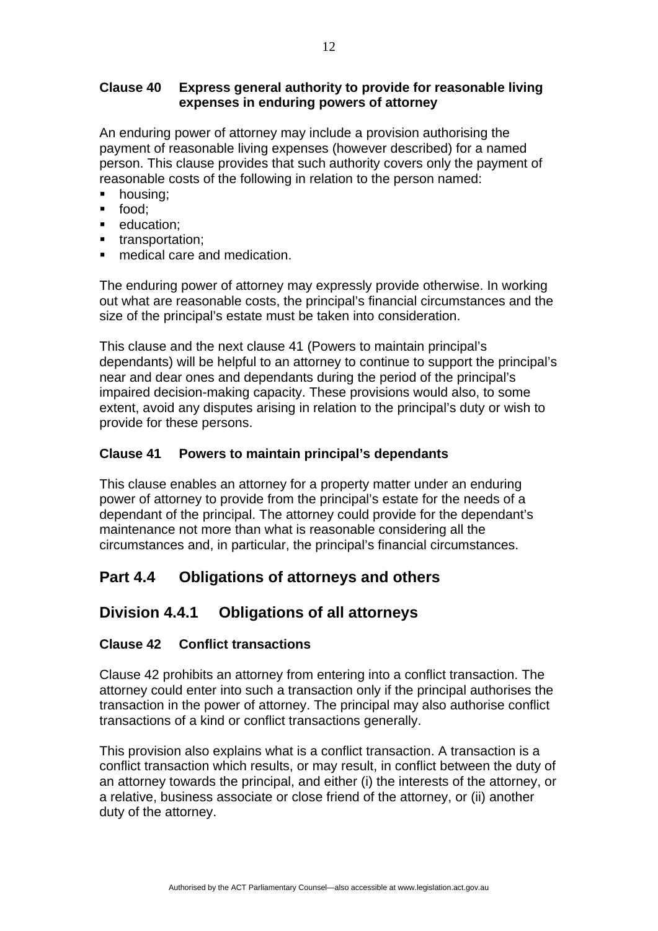### **Clause 40 Express general authority to provide for reasonable living expenses in enduring powers of attorney**

An enduring power of attorney may include a provision authorising the payment of reasonable living expenses (however described) for a named person. This clause provides that such authority covers only the payment of reasonable costs of the following in relation to the person named:

- **•** housing:
- food;
- **education:**
- **transportation:**
- medical care and medication.

The enduring power of attorney may expressly provide otherwise. In working out what are reasonable costs, the principal's financial circumstances and the size of the principal's estate must be taken into consideration.

This clause and the next clause 41 (Powers to maintain principal's dependants) will be helpful to an attorney to continue to support the principal's near and dear ones and dependants during the period of the principal's impaired decision-making capacity. These provisions would also, to some extent, avoid any disputes arising in relation to the principal's duty or wish to provide for these persons.

#### **Clause 41 Powers to maintain principal's dependants**

This clause enables an attorney for a property matter under an enduring power of attorney to provide from the principal's estate for the needs of a dependant of the principal. The attorney could provide for the dependant's maintenance not more than what is reasonable considering all the circumstances and, in particular, the principal's financial circumstances.

# **Part 4.4 Obligations of attorneys and others**

## **Division 4.4.1 Obligations of all attorneys**

#### **Clause 42 Conflict transactions**

Clause 42 prohibits an attorney from entering into a conflict transaction. The attorney could enter into such a transaction only if the principal authorises the transaction in the power of attorney. The principal may also authorise conflict transactions of a kind or conflict transactions generally.

This provision also explains what is a conflict transaction. A transaction is a conflict transaction which results, or may result, in conflict between the duty of an attorney towards the principal, and either (i) the interests of the attorney, or a relative, business associate or close friend of the attorney, or (ii) another duty of the attorney.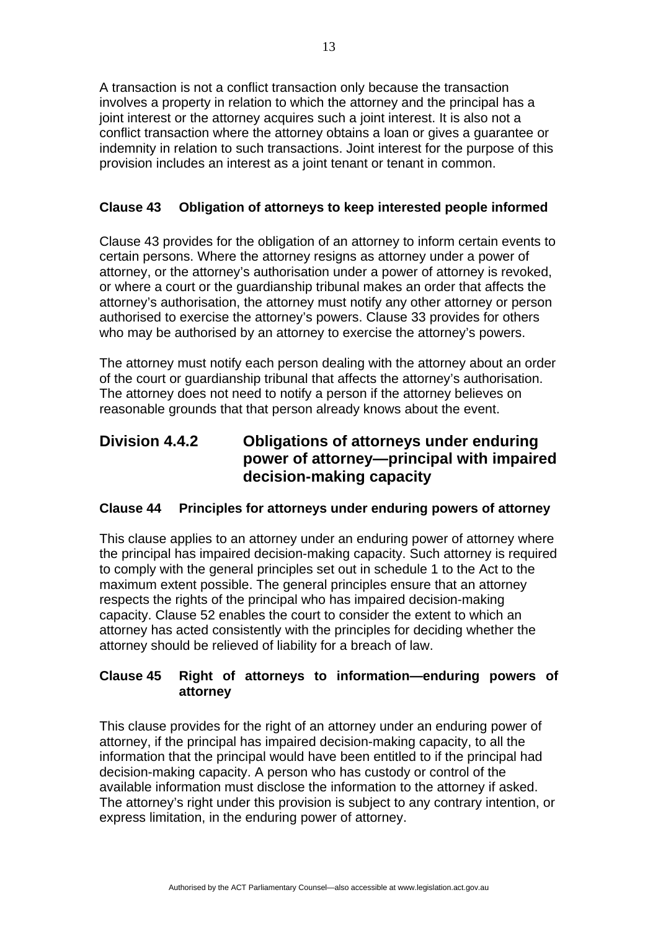A transaction is not a conflict transaction only because the transaction involves a property in relation to which the attorney and the principal has a joint interest or the attorney acquires such a joint interest. It is also not a conflict transaction where the attorney obtains a loan or gives a guarantee or indemnity in relation to such transactions. Joint interest for the purpose of this provision includes an interest as a joint tenant or tenant in common.

### **Clause 43 Obligation of attorneys to keep interested people informed**

Clause 43 provides for the obligation of an attorney to inform certain events to certain persons. Where the attorney resigns as attorney under a power of attorney, or the attorney's authorisation under a power of attorney is revoked, or where a court or the guardianship tribunal makes an order that affects the attorney's authorisation, the attorney must notify any other attorney or person authorised to exercise the attorney's powers. Clause 33 provides for others who may be authorised by an attorney to exercise the attorney's powers.

The attorney must notify each person dealing with the attorney about an order of the court or guardianship tribunal that affects the attorney's authorisation. The attorney does not need to notify a person if the attorney believes on reasonable grounds that that person already knows about the event.

## **Division 4.4.2 Obligations of attorneys under enduring power of attorney—principal with impaired decision-making capacity**

#### **Clause 44 Principles for attorneys under enduring powers of attorney**

This clause applies to an attorney under an enduring power of attorney where the principal has impaired decision-making capacity. Such attorney is required to comply with the general principles set out in schedule 1 to the Act to the maximum extent possible. The general principles ensure that an attorney respects the rights of the principal who has impaired decision-making capacity. Clause 52 enables the court to consider the extent to which an attorney has acted consistently with the principles for deciding whether the attorney should be relieved of liability for a breach of law.

## **Clause 45 Right of attorneys to information—enduring powers of attorney**

This clause provides for the right of an attorney under an enduring power of attorney, if the principal has impaired decision-making capacity, to all the information that the principal would have been entitled to if the principal had decision-making capacity. A person who has custody or control of the available information must disclose the information to the attorney if asked. The attorney's right under this provision is subject to any contrary intention, or express limitation, in the enduring power of attorney.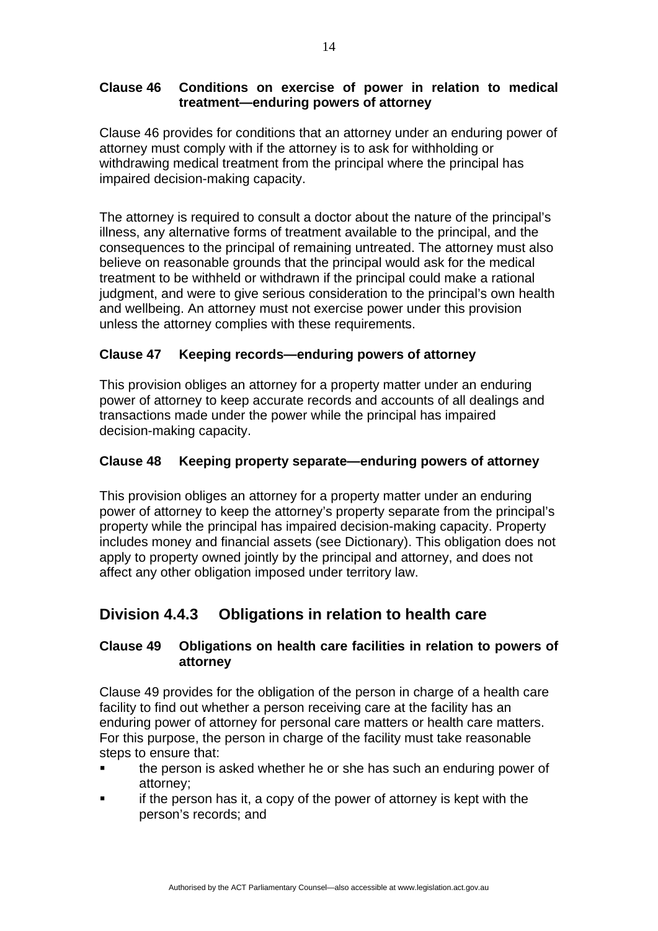## **Clause 46 Conditions on exercise of power in relation to medical treatment—enduring powers of attorney**

Clause 46 provides for conditions that an attorney under an enduring power of attorney must comply with if the attorney is to ask for withholding or withdrawing medical treatment from the principal where the principal has impaired decision-making capacity.

The attorney is required to consult a doctor about the nature of the principal's illness, any alternative forms of treatment available to the principal, and the consequences to the principal of remaining untreated. The attorney must also believe on reasonable grounds that the principal would ask for the medical treatment to be withheld or withdrawn if the principal could make a rational judgment, and were to give serious consideration to the principal's own health and wellbeing. An attorney must not exercise power under this provision unless the attorney complies with these requirements.

## **Clause 47 Keeping records—enduring powers of attorney**

This provision obliges an attorney for a property matter under an enduring power of attorney to keep accurate records and accounts of all dealings and transactions made under the power while the principal has impaired decision-making capacity.

### **Clause 48 Keeping property separate—enduring powers of attorney**

This provision obliges an attorney for a property matter under an enduring power of attorney to keep the attorney's property separate from the principal's property while the principal has impaired decision-making capacity. Property includes money and financial assets (see Dictionary). This obligation does not apply to property owned jointly by the principal and attorney, and does not affect any other obligation imposed under territory law.

# **Division 4.4.3 Obligations in relation to health care**

## **Clause 49 Obligations on health care facilities in relation to powers of attorney**

Clause 49 provides for the obligation of the person in charge of a health care facility to find out whether a person receiving care at the facility has an enduring power of attorney for personal care matters or health care matters. For this purpose, the person in charge of the facility must take reasonable steps to ensure that:

- the person is asked whether he or she has such an enduring power of attorney;
- if the person has it, a copy of the power of attorney is kept with the person's records; and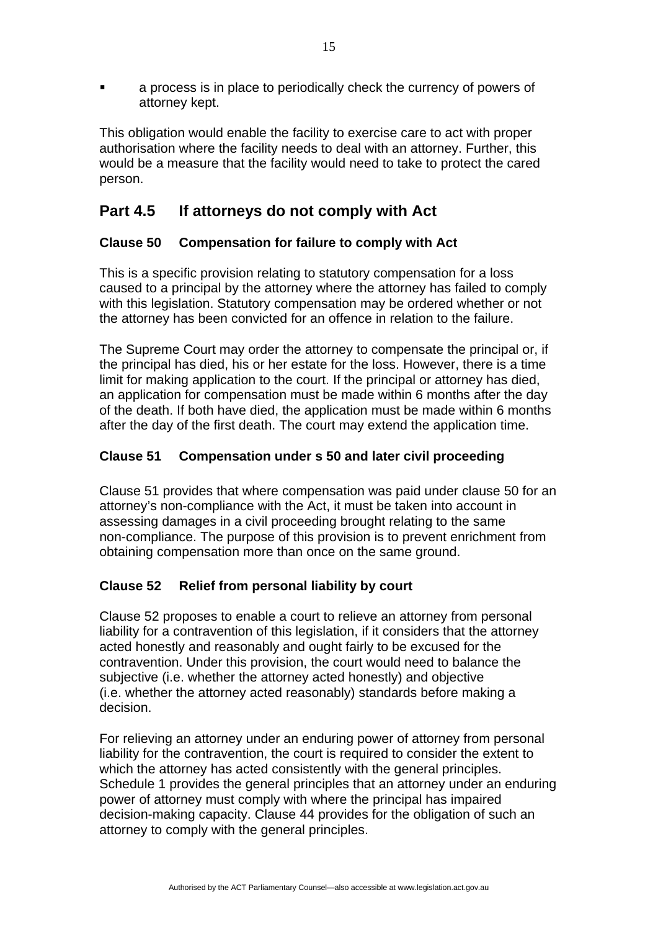a process is in place to periodically check the currency of powers of attorney kept.

This obligation would enable the facility to exercise care to act with proper authorisation where the facility needs to deal with an attorney. Further, this would be a measure that the facility would need to take to protect the cared person.

# **Part 4.5 If attorneys do not comply with Act**

## **Clause 50 Compensation for failure to comply with Act**

This is a specific provision relating to statutory compensation for a loss caused to a principal by the attorney where the attorney has failed to comply with this legislation. Statutory compensation may be ordered whether or not the attorney has been convicted for an offence in relation to the failure.

The Supreme Court may order the attorney to compensate the principal or, if the principal has died, his or her estate for the loss. However, there is a time limit for making application to the court. If the principal or attorney has died, an application for compensation must be made within 6 months after the day of the death. If both have died, the application must be made within 6 months after the day of the first death. The court may extend the application time.

## **Clause 51 Compensation under s 50 and later civil proceeding**

Clause 51 provides that where compensation was paid under clause 50 for an attorney's non-compliance with the Act, it must be taken into account in assessing damages in a civil proceeding brought relating to the same non-compliance. The purpose of this provision is to prevent enrichment from obtaining compensation more than once on the same ground.

## **Clause 52 Relief from personal liability by court**

Clause 52 proposes to enable a court to relieve an attorney from personal liability for a contravention of this legislation, if it considers that the attorney acted honestly and reasonably and ought fairly to be excused for the contravention. Under this provision, the court would need to balance the subjective (i.e. whether the attorney acted honestly) and objective (i.e. whether the attorney acted reasonably) standards before making a decision.

For relieving an attorney under an enduring power of attorney from personal liability for the contravention, the court is required to consider the extent to which the attorney has acted consistently with the general principles. Schedule 1 provides the general principles that an attorney under an enduring power of attorney must comply with where the principal has impaired decision-making capacity. Clause 44 provides for the obligation of such an attorney to comply with the general principles.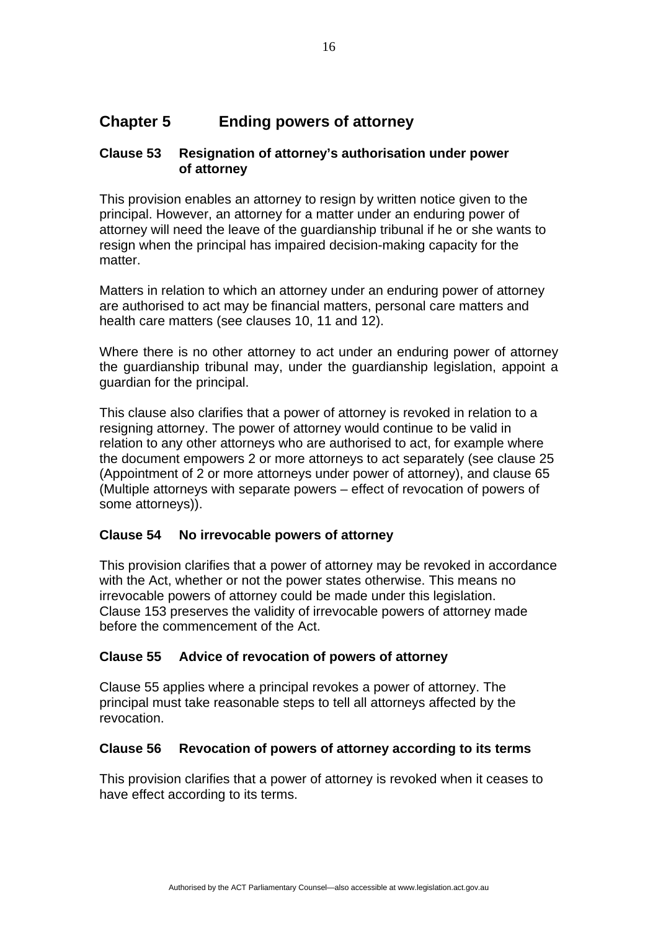# **Chapter 5 Ending powers of attorney**

#### **Clause 53 Resignation of attorney's authorisation under power of attorney**

This provision enables an attorney to resign by written notice given to the principal. However, an attorney for a matter under an enduring power of attorney will need the leave of the guardianship tribunal if he or she wants to resign when the principal has impaired decision-making capacity for the matter.

Matters in relation to which an attorney under an enduring power of attorney are authorised to act may be financial matters, personal care matters and health care matters (see clauses 10, 11 and 12).

Where there is no other attorney to act under an enduring power of attorney the guardianship tribunal may, under the guardianship legislation, appoint a guardian for the principal.

This clause also clarifies that a power of attorney is revoked in relation to a resigning attorney. The power of attorney would continue to be valid in relation to any other attorneys who are authorised to act, for example where the document empowers 2 or more attorneys to act separately (see clause 25 (Appointment of 2 or more attorneys under power of attorney), and clause 65 (Multiple attorneys with separate powers – effect of revocation of powers of some attorneys)).

#### **Clause 54 No irrevocable powers of attorney**

This provision clarifies that a power of attorney may be revoked in accordance with the Act, whether or not the power states otherwise. This means no irrevocable powers of attorney could be made under this legislation. Clause 153 preserves the validity of irrevocable powers of attorney made before the commencement of the Act.

#### **Clause 55 Advice of revocation of powers of attorney**

Clause 55 applies where a principal revokes a power of attorney. The principal must take reasonable steps to tell all attorneys affected by the revocation.

#### **Clause 56 Revocation of powers of attorney according to its terms**

This provision clarifies that a power of attorney is revoked when it ceases to have effect according to its terms.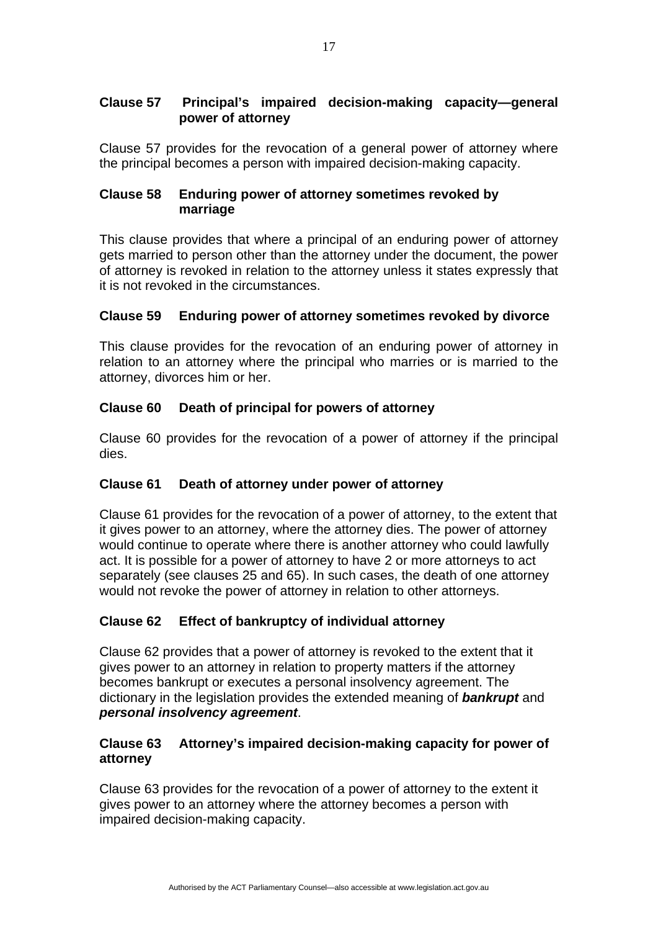### **Clause 57 Principal's impaired decision-making capacity—general power of attorney**

Clause 57 provides for the revocation of a general power of attorney where the principal becomes a person with impaired decision-making capacity.

#### **Clause 58 Enduring power of attorney sometimes revoked by marriage**

This clause provides that where a principal of an enduring power of attorney gets married to person other than the attorney under the document, the power of attorney is revoked in relation to the attorney unless it states expressly that it is not revoked in the circumstances.

## **Clause 59 Enduring power of attorney sometimes revoked by divorce**

This clause provides for the revocation of an enduring power of attorney in relation to an attorney where the principal who marries or is married to the attorney, divorces him or her.

#### **Clause 60 Death of principal for powers of attorney**

Clause 60 provides for the revocation of a power of attorney if the principal dies.

#### **Clause 61 Death of attorney under power of attorney**

Clause 61 provides for the revocation of a power of attorney, to the extent that it gives power to an attorney, where the attorney dies. The power of attorney would continue to operate where there is another attorney who could lawfully act. It is possible for a power of attorney to have 2 or more attorneys to act separately (see clauses 25 and 65). In such cases, the death of one attorney would not revoke the power of attorney in relation to other attorneys.

#### **Clause 62 Effect of bankruptcy of individual attorney**

Clause 62 provides that a power of attorney is revoked to the extent that it gives power to an attorney in relation to property matters if the attorney becomes bankrupt or executes a personal insolvency agreement. The dictionary in the legislation provides the extended meaning of *bankrupt* and *personal insolvency agreement*.

## **Clause 63 Attorney's impaired decision-making capacity for power of attorney**

Clause 63 provides for the revocation of a power of attorney to the extent it gives power to an attorney where the attorney becomes a person with impaired decision-making capacity.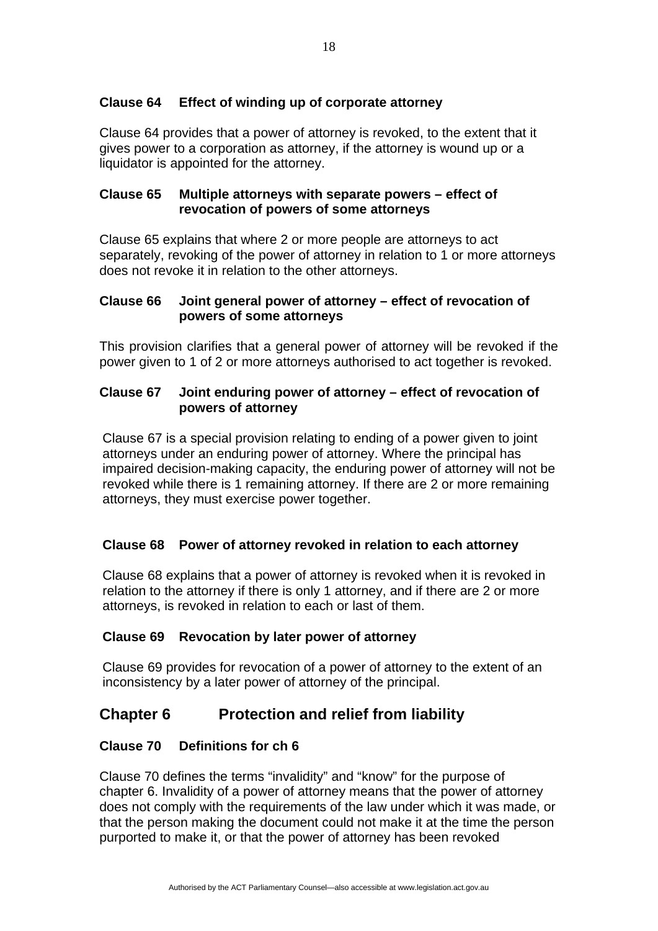#### **Clause 64 Effect of winding up of corporate attorney**

Clause 64 provides that a power of attorney is revoked, to the extent that it gives power to a corporation as attorney, if the attorney is wound up or a liquidator is appointed for the attorney.

#### **Clause 65 Multiple attorneys with separate powers – effect of revocation of powers of some attorneys**

Clause 65 explains that where 2 or more people are attorneys to act separately, revoking of the power of attorney in relation to 1 or more attorneys does not revoke it in relation to the other attorneys.

#### **Clause 66 Joint general power of attorney – effect of revocation of powers of some attorneys**

This provision clarifies that a general power of attorney will be revoked if the power given to 1 of 2 or more attorneys authorised to act together is revoked.

#### **Clause 67 Joint enduring power of attorney – effect of revocation of powers of attorney**

Clause 67 is a special provision relating to ending of a power given to joint attorneys under an enduring power of attorney. Where the principal has impaired decision-making capacity, the enduring power of attorney will not be revoked while there is 1 remaining attorney. If there are 2 or more remaining attorneys, they must exercise power together.

#### **Clause 68 Power of attorney revoked in relation to each attorney**

Clause 68 explains that a power of attorney is revoked when it is revoked in relation to the attorney if there is only 1 attorney, and if there are 2 or more attorneys, is revoked in relation to each or last of them.

#### **Clause 69 Revocation by later power of attorney**

Clause 69 provides for revocation of a power of attorney to the extent of an inconsistency by a later power of attorney of the principal.

## **Chapter 6 Protection and relief from liability**

#### **Clause 70 Definitions for ch 6**

Clause 70 defines the terms "invalidity" and "know" for the purpose of chapter 6. Invalidity of a power of attorney means that the power of attorney does not comply with the requirements of the law under which it was made, or that the person making the document could not make it at the time the person purported to make it, or that the power of attorney has been revoked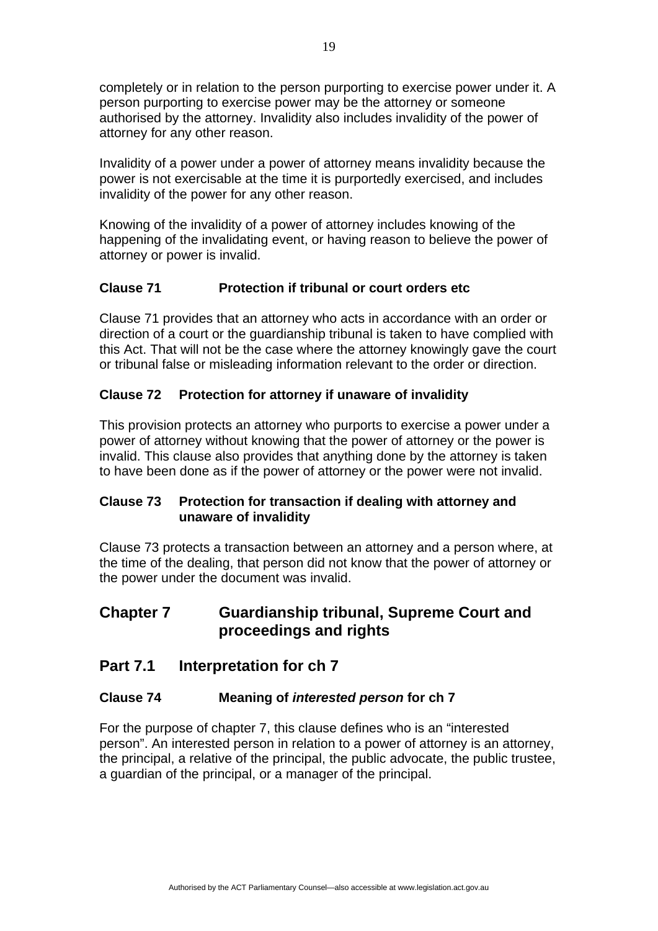completely or in relation to the person purporting to exercise power under it. A person purporting to exercise power may be the attorney or someone authorised by the attorney. Invalidity also includes invalidity of the power of attorney for any other reason.

Invalidity of a power under a power of attorney means invalidity because the power is not exercisable at the time it is purportedly exercised, and includes invalidity of the power for any other reason.

Knowing of the invalidity of a power of attorney includes knowing of the happening of the invalidating event, or having reason to believe the power of attorney or power is invalid.

## **Clause 71 Protection if tribunal or court orders etc**

Clause 71 provides that an attorney who acts in accordance with an order or direction of a court or the guardianship tribunal is taken to have complied with this Act. That will not be the case where the attorney knowingly gave the court or tribunal false or misleading information relevant to the order or direction.

## **Clause 72 Protection for attorney if unaware of invalidity**

This provision protects an attorney who purports to exercise a power under a power of attorney without knowing that the power of attorney or the power is invalid. This clause also provides that anything done by the attorney is taken to have been done as if the power of attorney or the power were not invalid.

#### **Clause 73 Protection for transaction if dealing with attorney and unaware of invalidity**

Clause 73 protects a transaction between an attorney and a person where, at the time of the dealing, that person did not know that the power of attorney or the power under the document was invalid.

## **Chapter 7 Guardianship tribunal, Supreme Court and proceedings and rights**

## **Part 7.1 Interpretation for ch 7**

#### **Clause 74 Meaning of** *interested person* **for ch 7**

For the purpose of chapter 7, this clause defines who is an "interested person". An interested person in relation to a power of attorney is an attorney, the principal, a relative of the principal, the public advocate, the public trustee, a guardian of the principal, or a manager of the principal.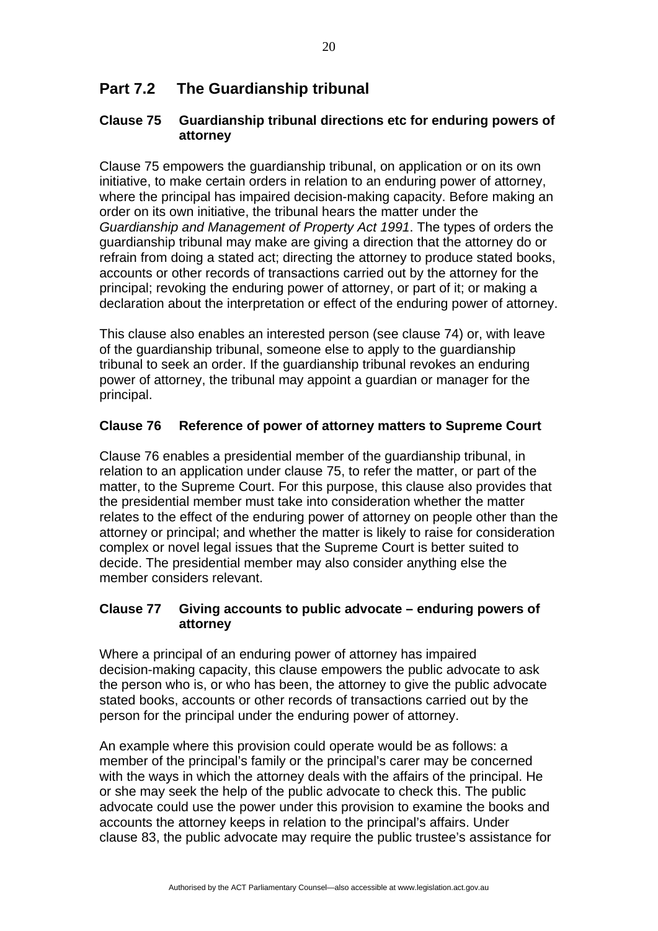# **Part 7.2 The Guardianship tribunal**

#### **Clause 75 Guardianship tribunal directions etc for enduring powers of attorney**

Clause 75 empowers the guardianship tribunal, on application or on its own initiative, to make certain orders in relation to an enduring power of attorney, where the principal has impaired decision-making capacity. Before making an order on its own initiative, the tribunal hears the matter under the *Guardianship and Management of Property Act 1991*. The types of orders the guardianship tribunal may make are giving a direction that the attorney do or refrain from doing a stated act; directing the attorney to produce stated books, accounts or other records of transactions carried out by the attorney for the principal; revoking the enduring power of attorney, or part of it; or making a declaration about the interpretation or effect of the enduring power of attorney.

This clause also enables an interested person (see clause 74) or, with leave of the guardianship tribunal, someone else to apply to the guardianship tribunal to seek an order. If the guardianship tribunal revokes an enduring power of attorney, the tribunal may appoint a guardian or manager for the principal.

#### **Clause 76 Reference of power of attorney matters to Supreme Court**

Clause 76 enables a presidential member of the guardianship tribunal, in relation to an application under clause 75, to refer the matter, or part of the matter, to the Supreme Court. For this purpose, this clause also provides that the presidential member must take into consideration whether the matter relates to the effect of the enduring power of attorney on people other than the attorney or principal; and whether the matter is likely to raise for consideration complex or novel legal issues that the Supreme Court is better suited to decide. The presidential member may also consider anything else the member considers relevant.

#### **Clause 77 Giving accounts to public advocate – enduring powers of attorney**

Where a principal of an enduring power of attorney has impaired decision-making capacity, this clause empowers the public advocate to ask the person who is, or who has been, the attorney to give the public advocate stated books, accounts or other records of transactions carried out by the person for the principal under the enduring power of attorney.

An example where this provision could operate would be as follows: a member of the principal's family or the principal's carer may be concerned with the ways in which the attorney deals with the affairs of the principal. He or she may seek the help of the public advocate to check this. The public advocate could use the power under this provision to examine the books and accounts the attorney keeps in relation to the principal's affairs. Under clause 83, the public advocate may require the public trustee's assistance for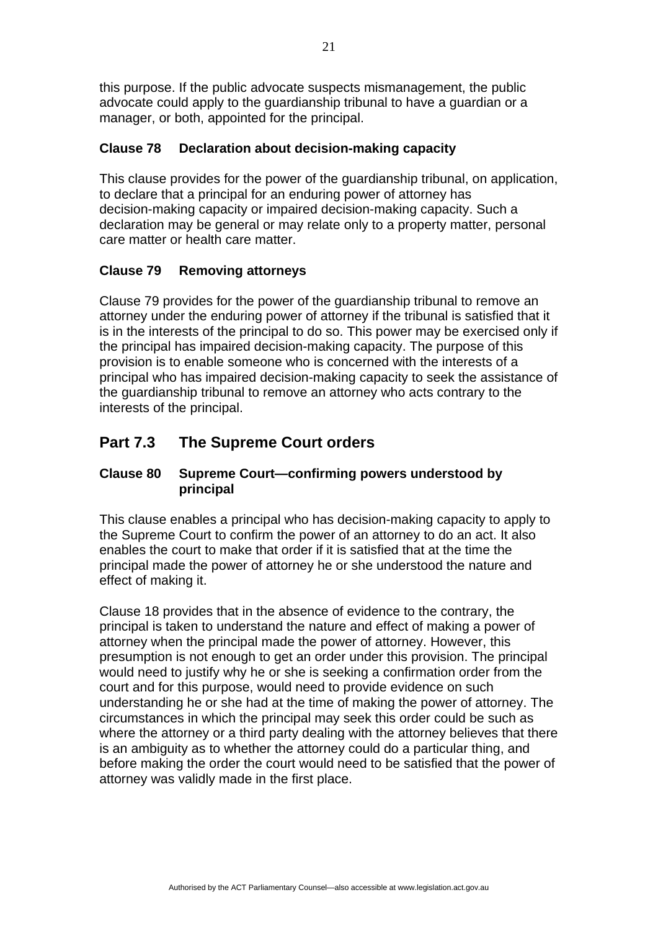this purpose. If the public advocate suspects mismanagement, the public advocate could apply to the guardianship tribunal to have a guardian or a manager, or both, appointed for the principal.

### **Clause 78 Declaration about decision-making capacity**

This clause provides for the power of the guardianship tribunal, on application, to declare that a principal for an enduring power of attorney has decision-making capacity or impaired decision-making capacity. Such a declaration may be general or may relate only to a property matter, personal care matter or health care matter.

## **Clause 79 Removing attorneys**

Clause 79 provides for the power of the guardianship tribunal to remove an attorney under the enduring power of attorney if the tribunal is satisfied that it is in the interests of the principal to do so. This power may be exercised only if the principal has impaired decision-making capacity. The purpose of this provision is to enable someone who is concerned with the interests of a principal who has impaired decision-making capacity to seek the assistance of the guardianship tribunal to remove an attorney who acts contrary to the interests of the principal.

# **Part 7.3 The Supreme Court orders**

## **Clause 80 Supreme Court—confirming powers understood by principal**

This clause enables a principal who has decision-making capacity to apply to the Supreme Court to confirm the power of an attorney to do an act. It also enables the court to make that order if it is satisfied that at the time the principal made the power of attorney he or she understood the nature and effect of making it.

Clause 18 provides that in the absence of evidence to the contrary, the principal is taken to understand the nature and effect of making a power of attorney when the principal made the power of attorney. However, this presumption is not enough to get an order under this provision. The principal would need to justify why he or she is seeking a confirmation order from the court and for this purpose, would need to provide evidence on such understanding he or she had at the time of making the power of attorney. The circumstances in which the principal may seek this order could be such as where the attorney or a third party dealing with the attorney believes that there is an ambiguity as to whether the attorney could do a particular thing, and before making the order the court would need to be satisfied that the power of attorney was validly made in the first place.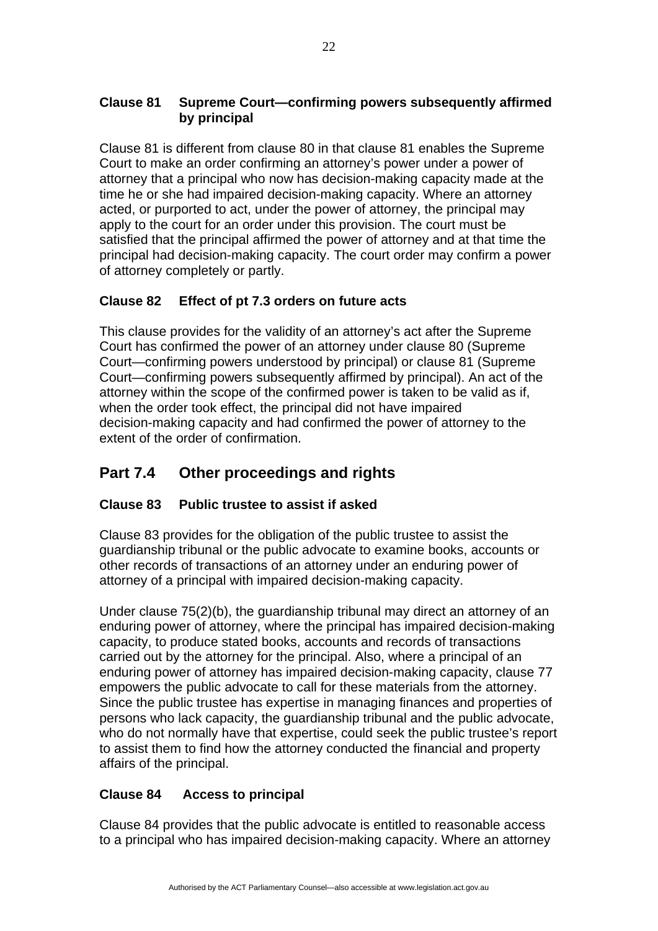## **Clause 81 Supreme Court—confirming powers subsequently affirmed by principal**

Clause 81 is different from clause 80 in that clause 81 enables the Supreme Court to make an order confirming an attorney's power under a power of attorney that a principal who now has decision-making capacity made at the time he or she had impaired decision-making capacity. Where an attorney acted, or purported to act, under the power of attorney, the principal may apply to the court for an order under this provision. The court must be satisfied that the principal affirmed the power of attorney and at that time the principal had decision-making capacity. The court order may confirm a power of attorney completely or partly.

## **Clause 82 Effect of pt 7.3 orders on future acts**

This clause provides for the validity of an attorney's act after the Supreme Court has confirmed the power of an attorney under clause 80 (Supreme Court—confirming powers understood by principal) or clause 81 (Supreme Court—confirming powers subsequently affirmed by principal). An act of the attorney within the scope of the confirmed power is taken to be valid as if, when the order took effect, the principal did not have impaired decision-making capacity and had confirmed the power of attorney to the extent of the order of confirmation.

# **Part 7.4 Other proceedings and rights**

## **Clause 83 Public trustee to assist if asked**

Clause 83 provides for the obligation of the public trustee to assist the guardianship tribunal or the public advocate to examine books, accounts or other records of transactions of an attorney under an enduring power of attorney of a principal with impaired decision-making capacity.

Under clause 75(2)(b), the guardianship tribunal may direct an attorney of an enduring power of attorney, where the principal has impaired decision-making capacity, to produce stated books, accounts and records of transactions carried out by the attorney for the principal. Also, where a principal of an enduring power of attorney has impaired decision-making capacity, clause 77 empowers the public advocate to call for these materials from the attorney. Since the public trustee has expertise in managing finances and properties of persons who lack capacity, the guardianship tribunal and the public advocate, who do not normally have that expertise, could seek the public trustee's report to assist them to find how the attorney conducted the financial and property affairs of the principal.

## **Clause 84 Access to principal**

Clause 84 provides that the public advocate is entitled to reasonable access to a principal who has impaired decision-making capacity. Where an attorney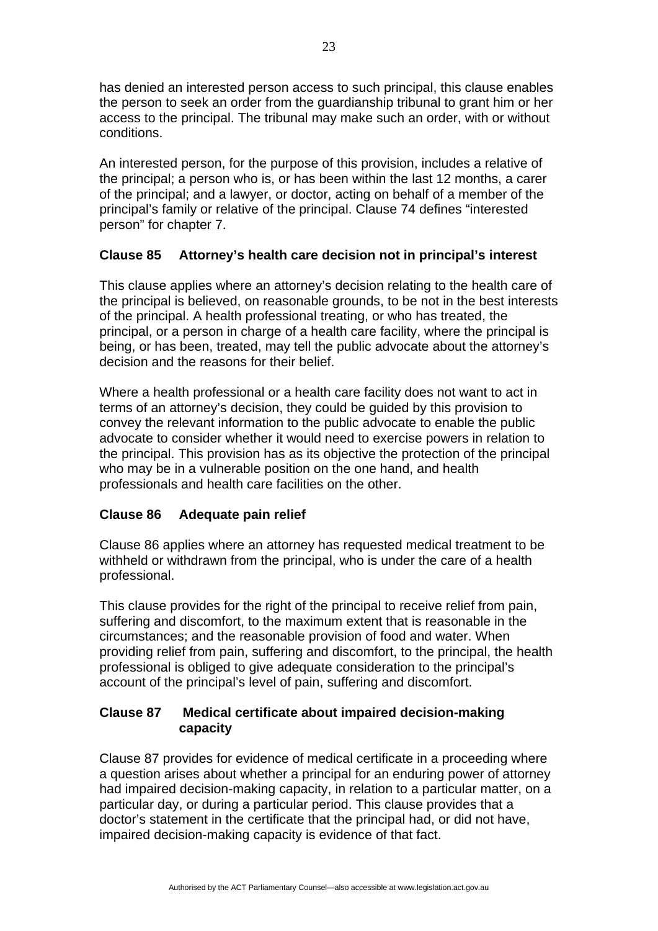has denied an interested person access to such principal, this clause enables the person to seek an order from the guardianship tribunal to grant him or her access to the principal. The tribunal may make such an order, with or without conditions.

An interested person, for the purpose of this provision, includes a relative of the principal; a person who is, or has been within the last 12 months, a carer of the principal; and a lawyer, or doctor, acting on behalf of a member of the principal's family or relative of the principal. Clause 74 defines "interested person" for chapter 7.

## **Clause 85 Attorney's health care decision not in principal's interest**

This clause applies where an attorney's decision relating to the health care of the principal is believed, on reasonable grounds, to be not in the best interests of the principal. A health professional treating, or who has treated, the principal, or a person in charge of a health care facility, where the principal is being, or has been, treated, may tell the public advocate about the attorney's decision and the reasons for their belief.

Where a health professional or a health care facility does not want to act in terms of an attorney's decision, they could be guided by this provision to convey the relevant information to the public advocate to enable the public advocate to consider whether it would need to exercise powers in relation to the principal. This provision has as its objective the protection of the principal who may be in a vulnerable position on the one hand, and health professionals and health care facilities on the other.

#### **Clause 86 Adequate pain relief**

Clause 86 applies where an attorney has requested medical treatment to be withheld or withdrawn from the principal, who is under the care of a health professional.

This clause provides for the right of the principal to receive relief from pain, suffering and discomfort, to the maximum extent that is reasonable in the circumstances; and the reasonable provision of food and water. When providing relief from pain, suffering and discomfort, to the principal, the health professional is obliged to give adequate consideration to the principal's account of the principal's level of pain, suffering and discomfort.

## **Clause 87 Medical certificate about impaired decision-making capacity**

Clause 87 provides for evidence of medical certificate in a proceeding where a question arises about whether a principal for an enduring power of attorney had impaired decision-making capacity, in relation to a particular matter, on a particular day, or during a particular period. This clause provides that a doctor's statement in the certificate that the principal had, or did not have, impaired decision-making capacity is evidence of that fact.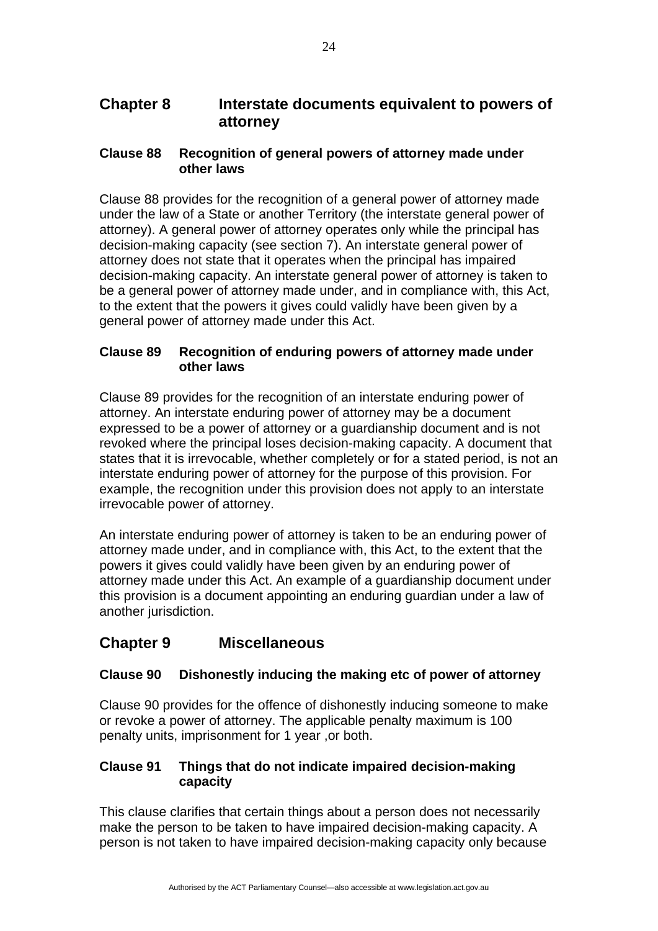## **Chapter 8 Interstate documents equivalent to powers of attorney**

#### **Clause 88 Recognition of general powers of attorney made under other laws**

Clause 88 provides for the recognition of a general power of attorney made under the law of a State or another Territory (the interstate general power of attorney). A general power of attorney operates only while the principal has decision-making capacity (see section 7). An interstate general power of attorney does not state that it operates when the principal has impaired decision-making capacity. An interstate general power of attorney is taken to be a general power of attorney made under, and in compliance with, this Act, to the extent that the powers it gives could validly have been given by a general power of attorney made under this Act.

## **Clause 89 Recognition of enduring powers of attorney made under other laws**

Clause 89 provides for the recognition of an interstate enduring power of attorney. An interstate enduring power of attorney may be a document expressed to be a power of attorney or a guardianship document and is not revoked where the principal loses decision-making capacity. A document that states that it is irrevocable, whether completely or for a stated period, is not an interstate enduring power of attorney for the purpose of this provision. For example, the recognition under this provision does not apply to an interstate irrevocable power of attorney.

An interstate enduring power of attorney is taken to be an enduring power of attorney made under, and in compliance with, this Act, to the extent that the powers it gives could validly have been given by an enduring power of attorney made under this Act. An example of a guardianship document under this provision is a document appointing an enduring guardian under a law of another jurisdiction.

# **Chapter 9 Miscellaneous**

## **Clause 90 Dishonestly inducing the making etc of power of attorney**

Clause 90 provides for the offence of dishonestly inducing someone to make or revoke a power of attorney. The applicable penalty maximum is 100 penalty units, imprisonment for 1 year ,or both.

#### **Clause 91 Things that do not indicate impaired decision-making capacity**

This clause clarifies that certain things about a person does not necessarily make the person to be taken to have impaired decision-making capacity. A person is not taken to have impaired decision-making capacity only because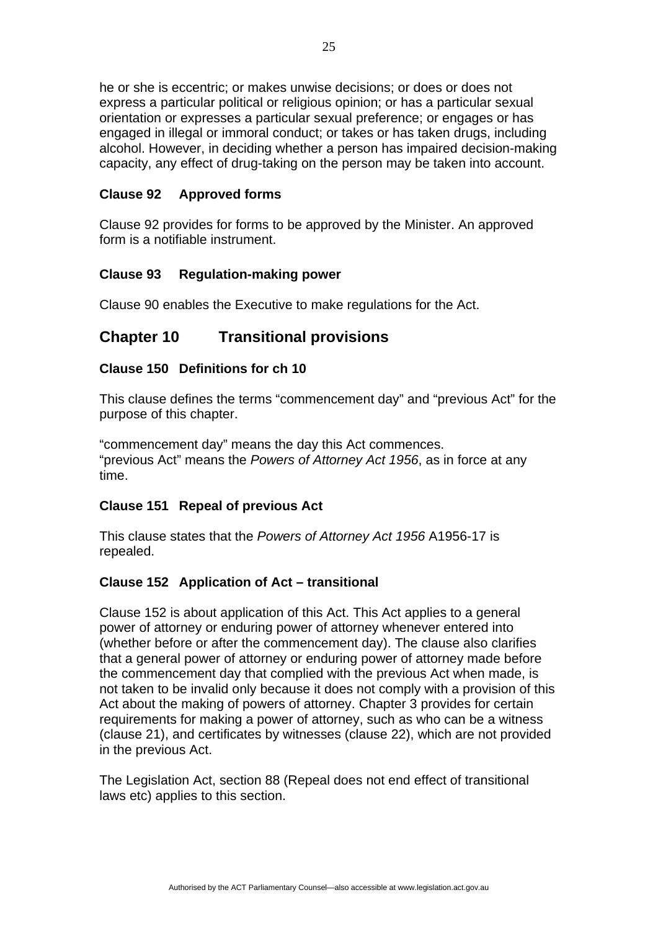he or she is eccentric; or makes unwise decisions; or does or does not express a particular political or religious opinion; or has a particular sexual orientation or expresses a particular sexual preference; or engages or has engaged in illegal or immoral conduct; or takes or has taken drugs, including alcohol. However, in deciding whether a person has impaired decision-making capacity, any effect of drug-taking on the person may be taken into account.

#### **Clause 92 Approved forms**

Clause 92 provides for forms to be approved by the Minister. An approved form is a notifiable instrument.

#### **Clause 93 Regulation-making power**

Clause 90 enables the Executive to make regulations for the Act.

## **Chapter 10 Transitional provisions**

#### **Clause 150 Definitions for ch 10**

This clause defines the terms "commencement day" and "previous Act" for the purpose of this chapter.

"commencement day" means the day this Act commences. "previous Act" means the *Powers of Attorney Act 1956*, as in force at any time.

#### **Clause 151 Repeal of previous Act**

This clause states that the *Powers of Attorney Act 1956* A1956-17 is repealed.

#### **Clause 152 Application of Act – transitional**

Clause 152 is about application of this Act. This Act applies to a general power of attorney or enduring power of attorney whenever entered into (whether before or after the commencement day). The clause also clarifies that a general power of attorney or enduring power of attorney made before the commencement day that complied with the previous Act when made, is not taken to be invalid only because it does not comply with a provision of this Act about the making of powers of attorney. Chapter 3 provides for certain requirements for making a power of attorney, such as who can be a witness (clause 21), and certificates by witnesses (clause 22), which are not provided in the previous Act.

The Legislation Act, section 88 (Repeal does not end effect of transitional laws etc) applies to this section.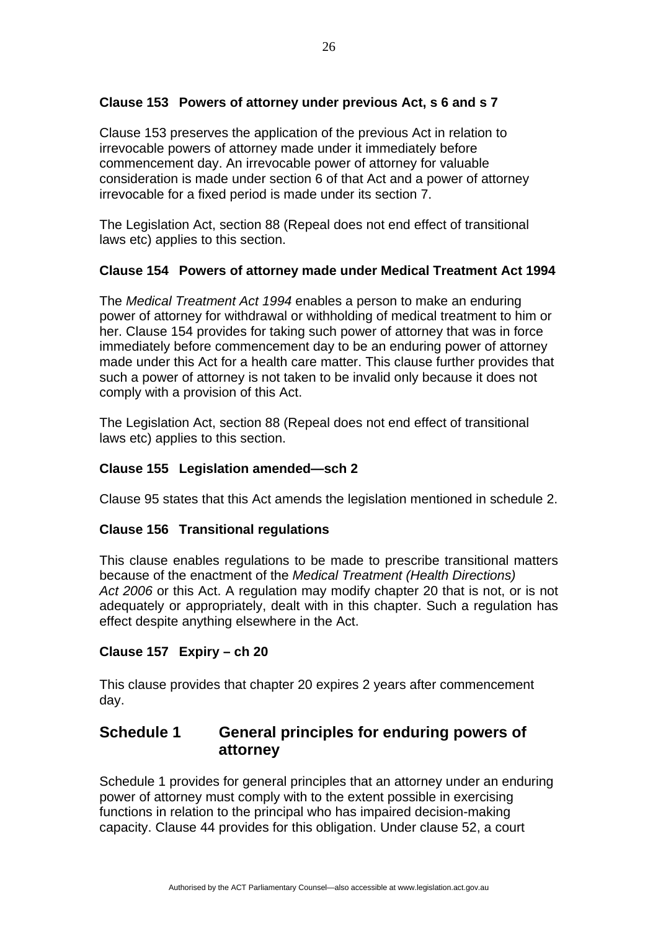## **Clause 153 Powers of attorney under previous Act, s 6 and s 7**

Clause 153 preserves the application of the previous Act in relation to irrevocable powers of attorney made under it immediately before commencement day. An irrevocable power of attorney for valuable consideration is made under section 6 of that Act and a power of attorney irrevocable for a fixed period is made under its section 7.

The Legislation Act, section 88 (Repeal does not end effect of transitional laws etc) applies to this section.

#### **Clause 154 Powers of attorney made under Medical Treatment Act 1994**

The *Medical Treatment Act 1994* enables a person to make an enduring power of attorney for withdrawal or withholding of medical treatment to him or her. Clause 154 provides for taking such power of attorney that was in force immediately before commencement day to be an enduring power of attorney made under this Act for a health care matter. This clause further provides that such a power of attorney is not taken to be invalid only because it does not comply with a provision of this Act.

The Legislation Act, section 88 (Repeal does not end effect of transitional laws etc) applies to this section.

## **Clause 155 Legislation amended—sch 2**

Clause 95 states that this Act amends the legislation mentioned in schedule 2.

#### **Clause 156 Transitional regulations**

This clause enables regulations to be made to prescribe transitional matters because of the enactment of the *Medical Treatment (Health Directions) Act 2006* or this Act. A regulation may modify chapter 20 that is not, or is not adequately or appropriately, dealt with in this chapter. Such a regulation has effect despite anything elsewhere in the Act.

#### **Clause 157 Expiry – ch 20**

This clause provides that chapter 20 expires 2 years after commencement day.

## **Schedule 1 General principles for enduring powers of attorney**

Schedule 1 provides for general principles that an attorney under an enduring power of attorney must comply with to the extent possible in exercising functions in relation to the principal who has impaired decision-making capacity. Clause 44 provides for this obligation. Under clause 52, a court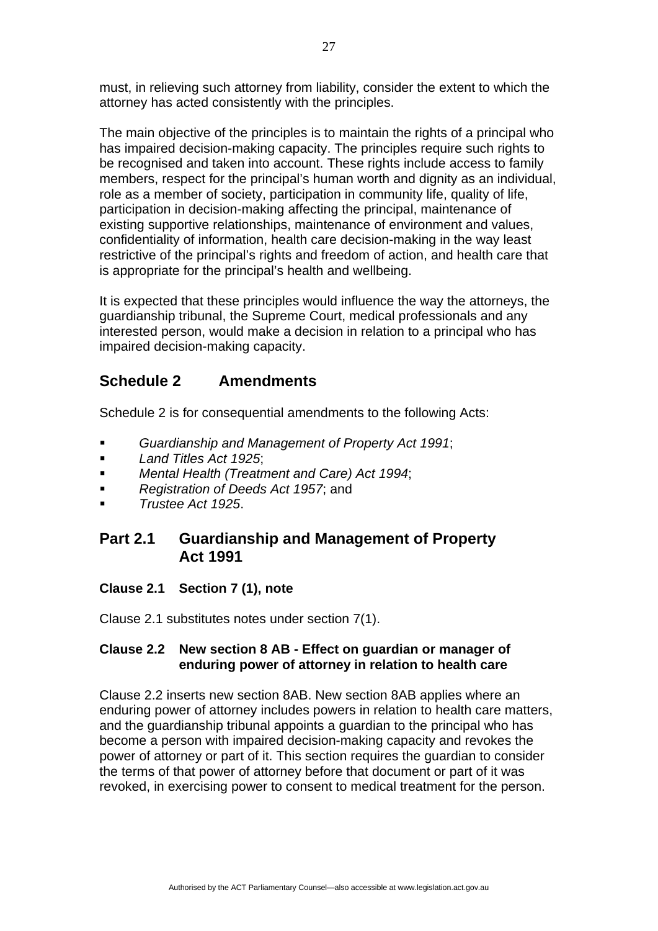must, in relieving such attorney from liability, consider the extent to which the attorney has acted consistently with the principles.

The main objective of the principles is to maintain the rights of a principal who has impaired decision-making capacity. The principles require such rights to be recognised and taken into account. These rights include access to family members, respect for the principal's human worth and dignity as an individual, role as a member of society, participation in community life, quality of life, participation in decision-making affecting the principal, maintenance of existing supportive relationships, maintenance of environment and values, confidentiality of information, health care decision-making in the way least restrictive of the principal's rights and freedom of action, and health care that is appropriate for the principal's health and wellbeing.

It is expected that these principles would influence the way the attorneys, the guardianship tribunal, the Supreme Court, medical professionals and any interested person, would make a decision in relation to a principal who has impaired decision-making capacity.

# **Schedule 2 Amendments**

Schedule 2 is for consequential amendments to the following Acts:

- *Guardianship and Management of Property Act 1991*;
- *Land Titles Act 1925*;
- *Mental Health (Treatment and Care) Act 1994*;
- **Registration of Deeds Act 1957; and**
- *Trustee Act 1925*.

## **Part 2.1 Guardianship and Management of Property Act 1991**

## **Clause 2.1 Section 7 (1), note**

Clause 2.1 substitutes notes under section 7(1).

#### **Clause 2.2 New section 8 AB - Effect on guardian or manager of enduring power of attorney in relation to health care**

Clause 2.2 inserts new section 8AB. New section 8AB applies where an enduring power of attorney includes powers in relation to health care matters, and the guardianship tribunal appoints a guardian to the principal who has become a person with impaired decision-making capacity and revokes the power of attorney or part of it. This section requires the guardian to consider the terms of that power of attorney before that document or part of it was revoked, in exercising power to consent to medical treatment for the person.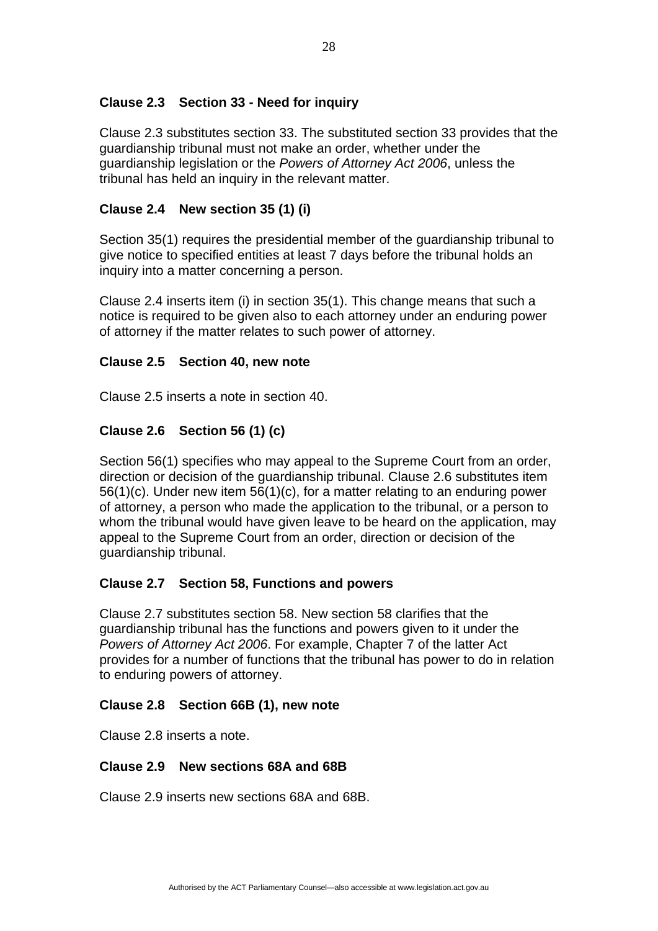#### **Clause 2.3 Section 33 - Need for inquiry**

Clause 2.3 substitutes section 33. The substituted section 33 provides that the guardianship tribunal must not make an order, whether under the guardianship legislation or the *Powers of Attorney Act 2006*, unless the tribunal has held an inquiry in the relevant matter.

## **Clause 2.4 New section 35 (1) (i)**

Section 35(1) requires the presidential member of the guardianship tribunal to give notice to specified entities at least 7 days before the tribunal holds an inquiry into a matter concerning a person.

Clause 2.4 inserts item (i) in section 35(1). This change means that such a notice is required to be given also to each attorney under an enduring power of attorney if the matter relates to such power of attorney.

#### **Clause 2.5 Section 40, new note**

Clause 2.5 inserts a note in section 40.

## **Clause 2.6 Section 56 (1) (c)**

Section 56(1) specifies who may appeal to the Supreme Court from an order, direction or decision of the guardianship tribunal. Clause 2.6 substitutes item 56(1)(c). Under new item 56(1)(c), for a matter relating to an enduring power of attorney, a person who made the application to the tribunal, or a person to whom the tribunal would have given leave to be heard on the application, may appeal to the Supreme Court from an order, direction or decision of the guardianship tribunal.

#### **Clause 2.7 Section 58, Functions and powers**

Clause 2.7 substitutes section 58. New section 58 clarifies that the guardianship tribunal has the functions and powers given to it under the *Powers of Attorney Act 2006*. For example, Chapter 7 of the latter Act provides for a number of functions that the tribunal has power to do in relation to enduring powers of attorney.

#### **Clause 2.8 Section 66B (1), new note**

Clause 2.8 inserts a note.

#### **Clause 2.9 New sections 68A and 68B**

Clause 2.9 inserts new sections 68A and 68B.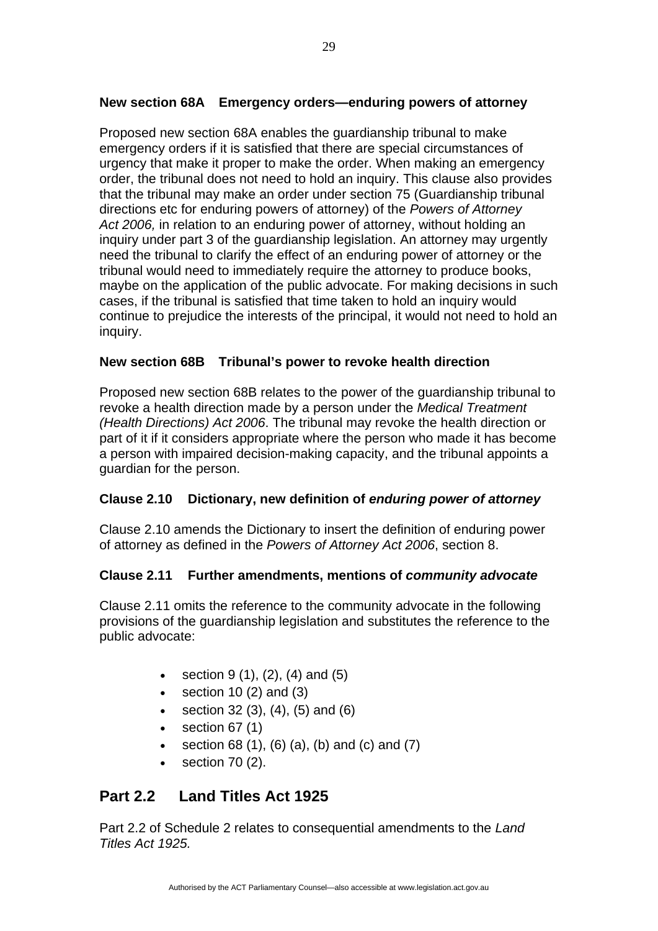#### **New section 68A Emergency orders—enduring powers of attorney**

Proposed new section 68A enables the guardianship tribunal to make emergency orders if it is satisfied that there are special circumstances of urgency that make it proper to make the order. When making an emergency order, the tribunal does not need to hold an inquiry. This clause also provides that the tribunal may make an order under section 75 (Guardianship tribunal directions etc for enduring powers of attorney) of the *Powers of Attorney Act 2006,* in relation to an enduring power of attorney, without holding an inquiry under part 3 of the guardianship legislation. An attorney may urgently need the tribunal to clarify the effect of an enduring power of attorney or the tribunal would need to immediately require the attorney to produce books, maybe on the application of the public advocate. For making decisions in such cases, if the tribunal is satisfied that time taken to hold an inquiry would continue to prejudice the interests of the principal, it would not need to hold an inquiry.

#### **New section 68B Tribunal's power to revoke health direction**

Proposed new section 68B relates to the power of the guardianship tribunal to revoke a health direction made by a person under the *Medical Treatment (Health Directions) Act 2006*. The tribunal may revoke the health direction or part of it if it considers appropriate where the person who made it has become a person with impaired decision-making capacity, and the tribunal appoints a guardian for the person.

#### **Clause 2.10 Dictionary, new definition of** *enduring power of attorney*

Clause 2.10 amends the Dictionary to insert the definition of enduring power of attorney as defined in the *Powers of Attorney Act 2006*, section 8.

#### **Clause 2.11 Further amendments, mentions of** *community advocate*

Clause 2.11 omits the reference to the community advocate in the following provisions of the guardianship legislation and substitutes the reference to the public advocate:

- section  $9(1)$ ,  $(2)$ ,  $(4)$  and  $(5)$
- section 10  $(2)$  and  $(3)$
- section 32 (3), (4), (5) and (6)
- $\bullet$  section 67 $(1)$
- section 68 (1), (6) (a), (b) and (c) and (7)
- section 70 (2).

# **Part 2.2 Land Titles Act 1925**

Part 2.2 of Schedule 2 relates to consequential amendments to the *Land Titles Act 1925.*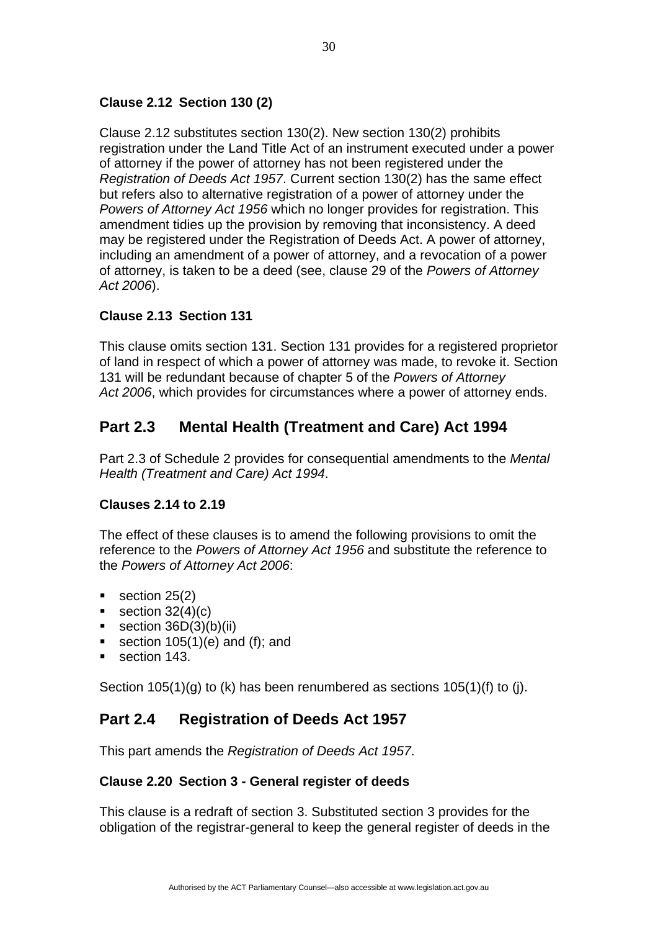## **Clause 2.12 Section 130 (2)**

Clause 2.12 substitutes section 130(2). New section 130(2) prohibits registration under the Land Title Act of an instrument executed under a power of attorney if the power of attorney has not been registered under the *Registration of Deeds Act 1957*. Current section 130(2) has the same effect but refers also to alternative registration of a power of attorney under the *Powers of Attorney Act 1956* which no longer provides for registration. This amendment tidies up the provision by removing that inconsistency. A deed may be registered under the Registration of Deeds Act. A power of attorney, including an amendment of a power of attorney, and a revocation of a power of attorney, is taken to be a deed (see, clause 29 of the *Powers of Attorney Act 2006*).

## **Clause 2.13 Section 131**

This clause omits section 131. Section 131 provides for a registered proprietor of land in respect of which a power of attorney was made, to revoke it. Section 131 will be redundant because of chapter 5 of the *Powers of Attorney Act 2006*, which provides for circumstances where a power of attorney ends.

## **Part 2.3 Mental Health (Treatment and Care) Act 1994**

Part 2.3 of Schedule 2 provides for consequential amendments to the *Mental Health (Treatment and Care) Act 1994*.

#### **Clauses 2.14 to 2.19**

The effect of these clauses is to amend the following provisions to omit the reference to the *Powers of Attorney Act 1956* and substitute the reference to the *Powers of Attorney Act 2006*:

- $\bullet$  section 25(2)
- $\bullet$  section 32(4)(c)
- section  $36D(3)(b)(ii)$
- section  $105(1)(e)$  and (f); and
- section 143.

Section 105(1)(g) to (k) has been renumbered as sections 105(1)(f) to (j).

## **Part 2.4 Registration of Deeds Act 1957**

This part amends the *Registration of Deeds Act 1957*.

#### **Clause 2.20 Section 3 - General register of deeds**

This clause is a redraft of section 3. Substituted section 3 provides for the obligation of the registrar-general to keep the general register of deeds in the